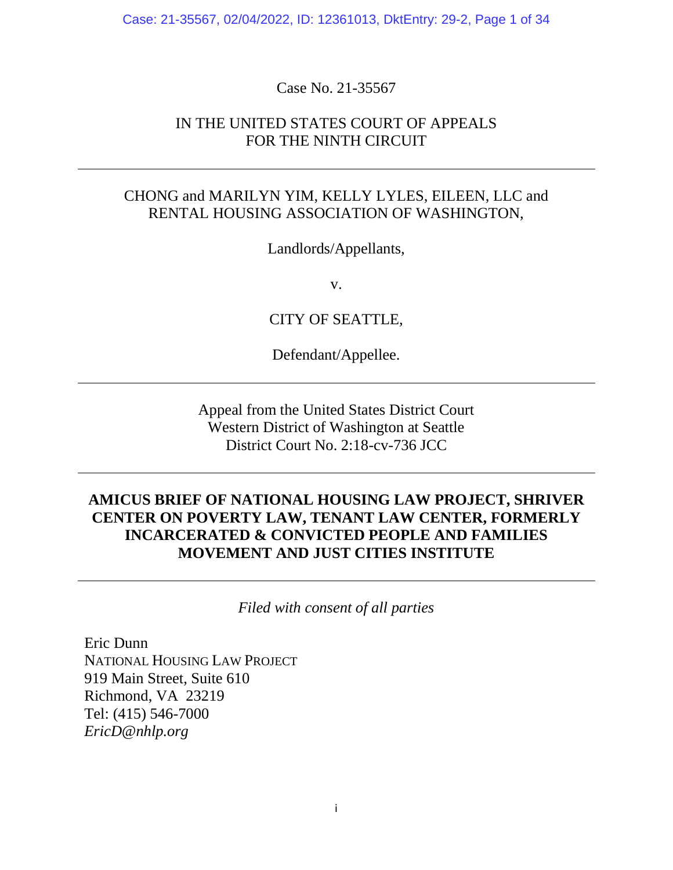Case: 21-35567, 02/04/2022, ID: 12361013, DktEntry: 29-2, Page 1 of 34

Case No. 21-35567

## IN THE UNITED STATES COURT OF APPEALS FOR THE NINTH CIRCUIT

## CHONG and MARILYN YIM, KELLY LYLES, EILEEN, LLC and RENTAL HOUSING ASSOCIATION OF WASHINGTON,

Landlords/Appellants,

v.

CITY OF SEATTLE,

Defendant/Appellee.

Appeal from the United States District Court Western District of Washington at Seattle District Court No. 2:18-cv-736 JCC

## **AMICUS BRIEF OF NATIONAL HOUSING LAW PROJECT, SHRIVER CENTER ON POVERTY LAW, TENANT LAW CENTER, FORMERLY INCARCERATED & CONVICTED PEOPLE AND FAMILIES MOVEMENT AND JUST CITIES INSTITUTE**

*Filed with consent of all parties*

Eric Dunn NATIONAL HOUSING LAW PROJECT 919 Main Street, Suite 610 Richmond, VA 23219 Tel: (415) 546-7000 *EricD@nhlp.org*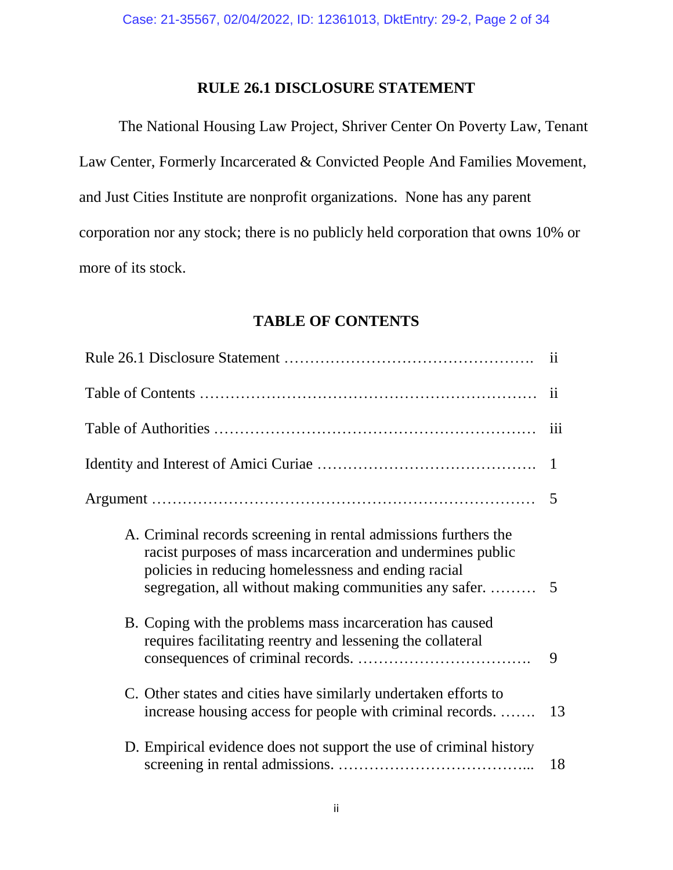## **RULE 26.1 DISCLOSURE STATEMENT**

The National Housing Law Project, Shriver Center On Poverty Law, Tenant Law Center, Formerly Incarcerated & Convicted People And Families Movement, and Just Cities Institute are nonprofit organizations. None has any parent corporation nor any stock; there is no publicly held corporation that owns 10% or more of its stock.

### **TABLE OF CONTENTS**

|                                                                                                                                                                                                                                                 | 11           |
|-------------------------------------------------------------------------------------------------------------------------------------------------------------------------------------------------------------------------------------------------|--------------|
|                                                                                                                                                                                                                                                 | ii           |
|                                                                                                                                                                                                                                                 | iii          |
|                                                                                                                                                                                                                                                 | $\mathbf{1}$ |
|                                                                                                                                                                                                                                                 | 5            |
| A. Criminal records screening in rental admissions furthers the<br>racist purposes of mass incarceration and undermines public<br>policies in reducing homelessness and ending racial<br>segregation, all without making communities any safer. | 5            |
| B. Coping with the problems mass incarceration has caused<br>requires facilitating reentry and lessening the collateral                                                                                                                         | 9            |
| C. Other states and cities have similarly undertaken efforts to<br>increase housing access for people with criminal records.                                                                                                                    | 13           |
| D. Empirical evidence does not support the use of criminal history                                                                                                                                                                              | 18           |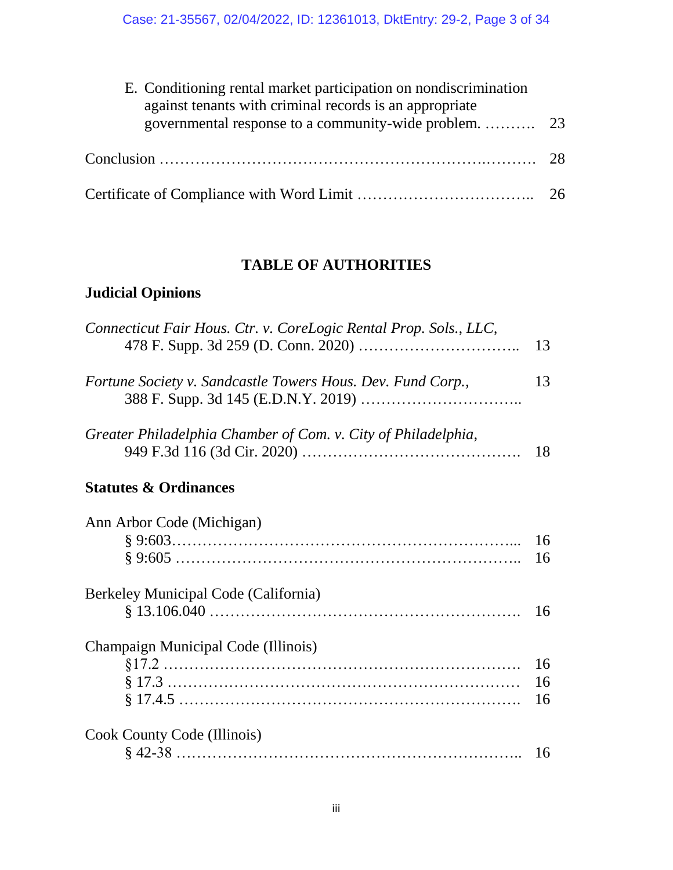| E. Conditioning rental market participation on nondiscrimination<br>against tenants with criminal records is an appropriate |  |
|-----------------------------------------------------------------------------------------------------------------------------|--|
|                                                                                                                             |  |
|                                                                                                                             |  |
|                                                                                                                             |  |

## **TABLE OF AUTHORITIES**

## **Judicial Opinions**

| Connecticut Fair Hous. Ctr. v. CoreLogic Rental Prop. Sols., LLC, | 13 |
|-------------------------------------------------------------------|----|
| Fortune Society v. Sandcastle Towers Hous. Dev. Fund Corp.,       | 13 |
| Greater Philadelphia Chamber of Com. v. City of Philadelphia,     | 18 |
| <b>Statutes &amp; Ordinances</b>                                  |    |
| Ann Arbor Code (Michigan)                                         |    |
|                                                                   | 16 |
|                                                                   | 16 |
| Berkeley Municipal Code (California)                              |    |
|                                                                   | 16 |
| Champaign Municipal Code (Illinois)                               |    |
|                                                                   | 16 |
|                                                                   | 16 |
|                                                                   | 16 |
| Cook County Code (Illinois)                                       |    |
|                                                                   | 16 |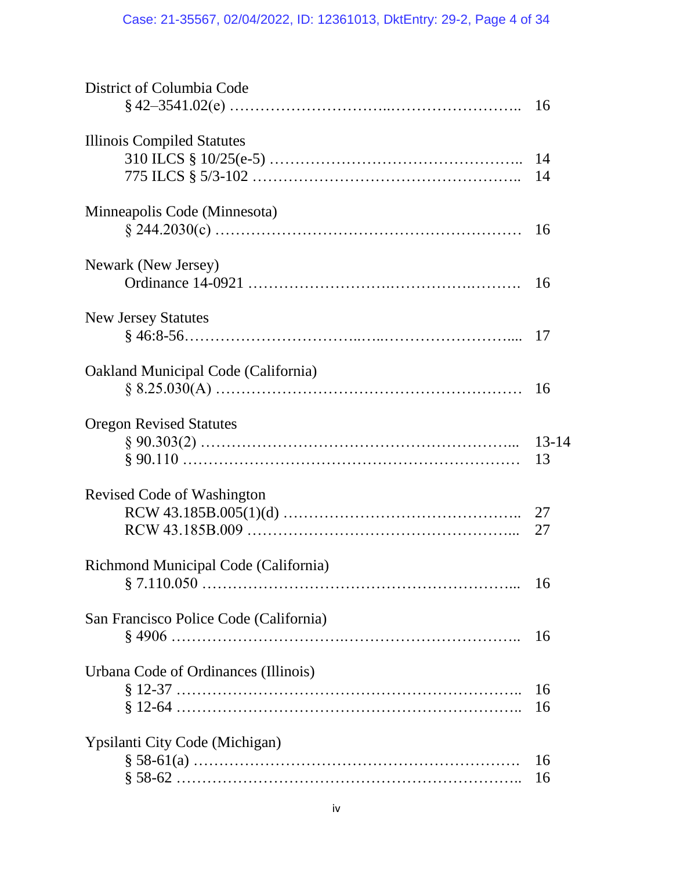| District of Columbia Code                             | 16              |
|-------------------------------------------------------|-----------------|
| Illinois Compiled Statutes                            | 14<br>14        |
| Minneapolis Code (Minnesota)                          | 16              |
| Newark (New Jersey)                                   | 16              |
| <b>New Jersey Statutes</b>                            | 17              |
| Oakland Municipal Code (California)                   | 16              |
| <b>Oregon Revised Statutes</b><br>$§ 90.303(2) \dots$ | $13 - 14$<br>13 |
| Revised Code of Washington                            | 27<br>27        |
| Richmond Municipal Code (California)                  | 16              |
| San Francisco Police Code (California)                | 16              |
| Urbana Code of Ordinances (Illinois)                  | 16<br>16        |
| Ypsilanti City Code (Michigan)                        | 16<br>16        |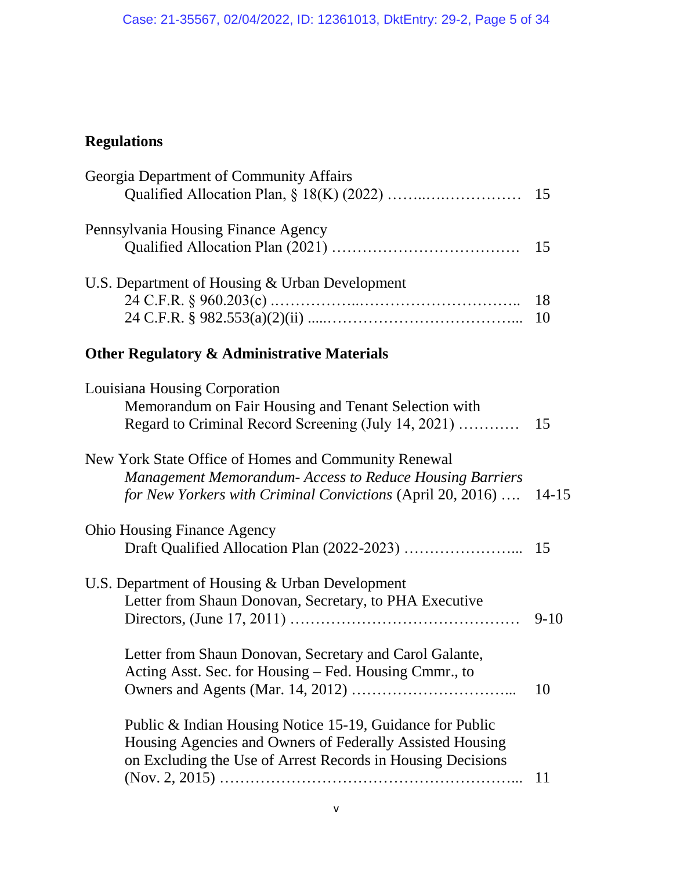# **Regulations**

| Georgia Department of Community Affairs                         |           |
|-----------------------------------------------------------------|-----------|
|                                                                 |           |
| Pennsylvania Housing Finance Agency                             |           |
|                                                                 |           |
| U.S. Department of Housing & Urban Development                  |           |
|                                                                 | 18        |
|                                                                 | 10        |
| <b>Other Regulatory &amp; Administrative Materials</b>          |           |
| Louisiana Housing Corporation                                   |           |
| Memorandum on Fair Housing and Tenant Selection with            |           |
| Regard to Criminal Record Screening (July 14, 2021)             | 15        |
| New York State Office of Homes and Community Renewal            |           |
| <b>Management Memorandum- Access to Reduce Housing Barriers</b> |           |
| for New Yorkers with Criminal Convictions (April 20, 2016)      | $14 - 15$ |
| <b>Ohio Housing Finance Agency</b>                              |           |
|                                                                 |           |
| U.S. Department of Housing & Urban Development                  |           |
| Letter from Shaun Donovan, Secretary, to PHA Executive          |           |
|                                                                 | $9-10$    |
| Letter from Shaun Donovan, Secretary and Carol Galante,         |           |
| Acting Asst. Sec. for Housing – Fed. Housing Cmmr., to          |           |
|                                                                 | 10        |
| Public & Indian Housing Notice 15-19, Guidance for Public       |           |
| Housing Agencies and Owners of Federally Assisted Housing       |           |
| on Excluding the Use of Arrest Records in Housing Decisions     |           |
|                                                                 | 11        |
|                                                                 |           |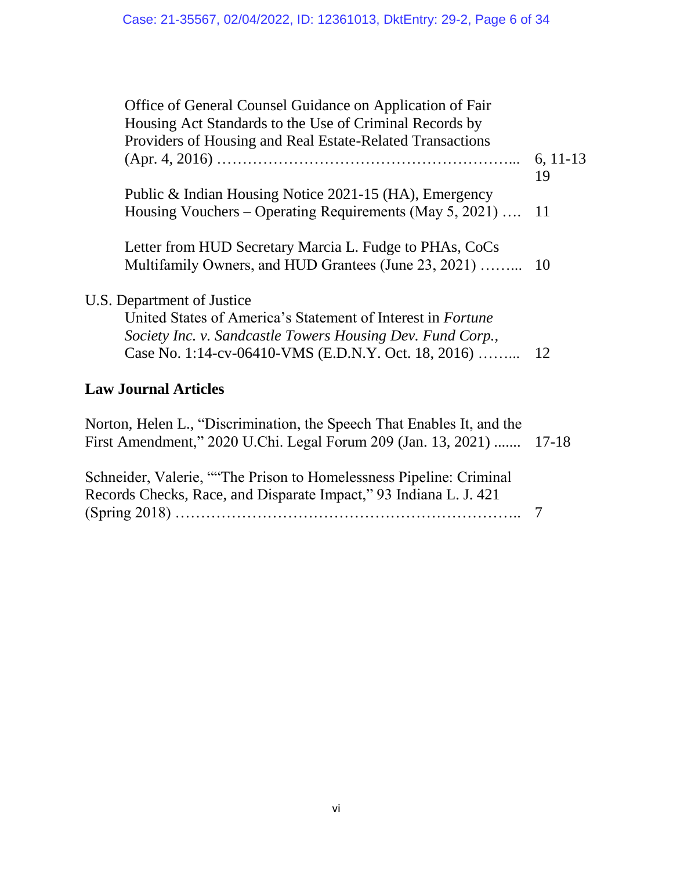| Office of General Counsel Guidance on Application of Fair<br>Housing Act Standards to the Use of Criminal Records by<br>Providers of Housing and Real Estate-Related Transactions       |            |
|-----------------------------------------------------------------------------------------------------------------------------------------------------------------------------------------|------------|
|                                                                                                                                                                                         | $6, 11-13$ |
|                                                                                                                                                                                         | 19         |
| Public & Indian Housing Notice 2021-15 (HA), Emergency                                                                                                                                  |            |
| Housing Vouchers – Operating Requirements (May 5, 2021)                                                                                                                                 | -11        |
| Letter from HUD Secretary Marcia L. Fudge to PHAs, CoCs<br>Multifamily Owners, and HUD Grantees (June 23, 2021)                                                                         | 10         |
| U.S. Department of Justice                                                                                                                                                              |            |
| United States of America's Statement of Interest in <i>Fortune</i><br>Society Inc. v. Sandcastle Towers Housing Dev. Fund Corp.,<br>Case No. 1:14-cv-06410-VMS (E.D.N.Y. Oct. 18, 2016) | -12        |
|                                                                                                                                                                                         |            |

## **Law Journal Articles**

| Norton, Helen L., "Discrimination, the Speech That Enables It, and the<br>First Amendment," 2020 U.Chi. Legal Forum 209 (Jan. 13, 2021)  17-18 |  |
|------------------------------------------------------------------------------------------------------------------------------------------------|--|
| Schneider, Valerie, "The Prison to Homelessness Pipeline: Criminal                                                                             |  |
| Records Checks, Race, and Disparate Impact," 93 Indiana L. J. 421                                                                              |  |
|                                                                                                                                                |  |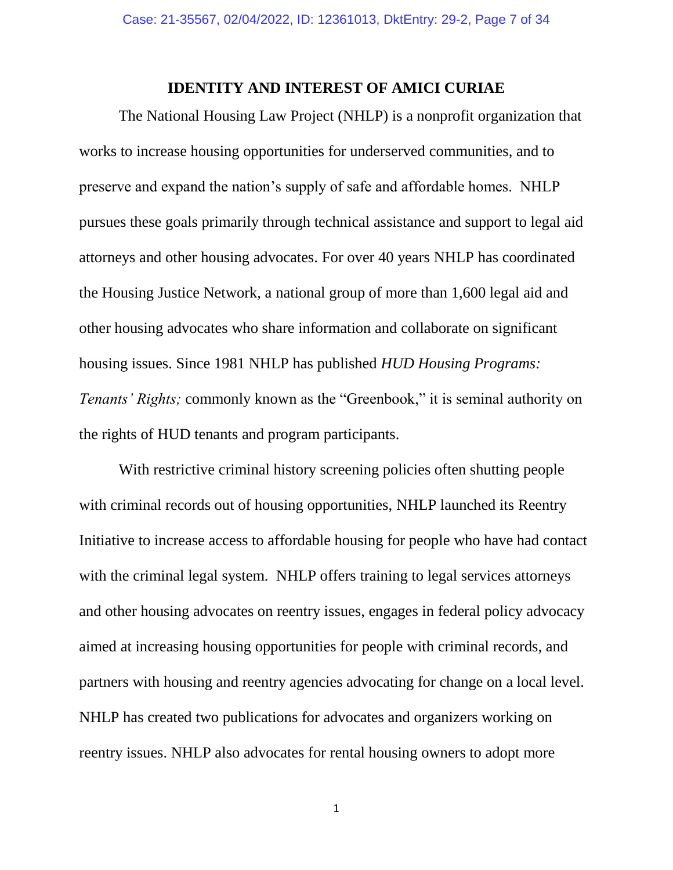### **IDENTITY AND INTEREST OF AMICI CURIAE**

The National Housing Law Project (NHLP) is a nonprofit organization that works to increase housing opportunities for underserved communities, and to preserve and expand the nation's supply of safe and affordable homes. NHLP pursues these goals primarily through technical assistance and support to legal aid attorneys and other housing advocates. For over 40 years NHLP has coordinated the Housing Justice Network, a national group of more than 1,600 legal aid and other housing advocates who share information and collaborate on significant housing issues. Since 1981 NHLP has published *HUD Housing Programs: Tenants' Rights;* commonly known as the "Greenbook," it is seminal authority on the rights of HUD tenants and program participants.

With restrictive criminal history screening policies often shutting people with criminal records out of housing opportunities, NHLP launched its Reentry Initiative to increase access to affordable housing for people who have had contact with the criminal legal system. NHLP offers training to legal services attorneys and other housing advocates on reentry issues, engages in federal policy advocacy aimed at increasing housing opportunities for people with criminal records, and partners with housing and reentry agencies advocating for change on a local level. NHLP has created two publications for advocates and organizers working on reentry issues. NHLP also advocates for rental housing owners to adopt more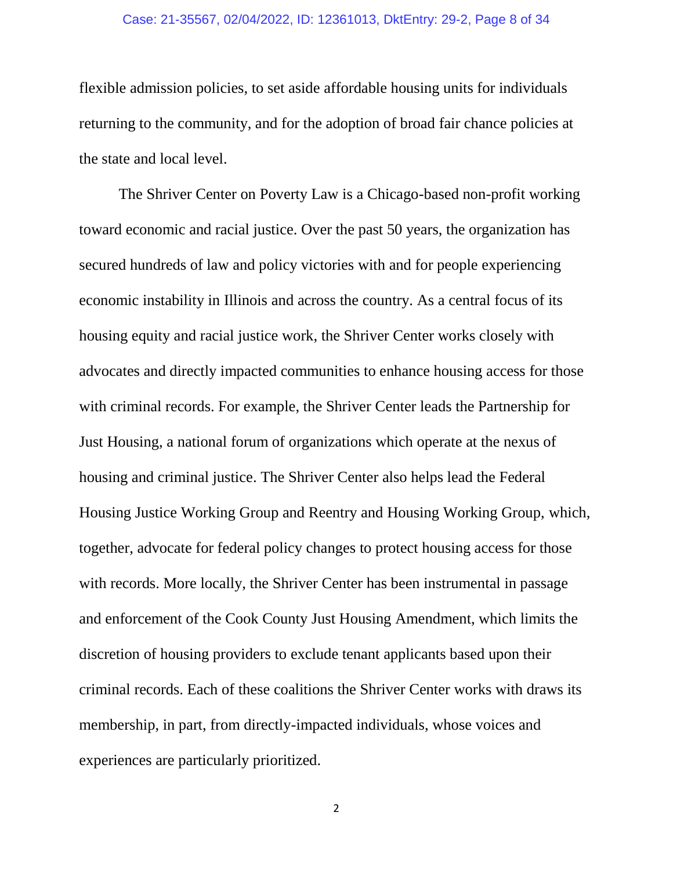#### Case: 21-35567, 02/04/2022, ID: 12361013, DktEntry: 29-2, Page 8 of 34

flexible admission policies, to set aside affordable housing units for individuals returning to the community, and for the adoption of broad fair chance policies at the state and local level.

The Shriver Center on Poverty Law is a Chicago-based non-profit working toward economic and racial justice. Over the past 50 years, the organization has secured hundreds of law and policy victories with and for people experiencing economic instability in Illinois and across the country. As a central focus of its housing equity and racial justice work, the Shriver Center works closely with advocates and directly impacted communities to enhance housing access for those with criminal records. For example, the Shriver Center leads the Partnership for Just Housing, a national forum of organizations which operate at the nexus of housing and criminal justice. The Shriver Center also helps lead the Federal Housing Justice Working Group and Reentry and Housing Working Group, which, together, advocate for federal policy changes to protect housing access for those with records. More locally, the Shriver Center has been instrumental in passage and enforcement of the Cook County Just Housing Amendment, which limits the discretion of housing providers to exclude tenant applicants based upon their criminal records. Each of these coalitions the Shriver Center works with draws its membership, in part, from directly-impacted individuals, whose voices and experiences are particularly prioritized.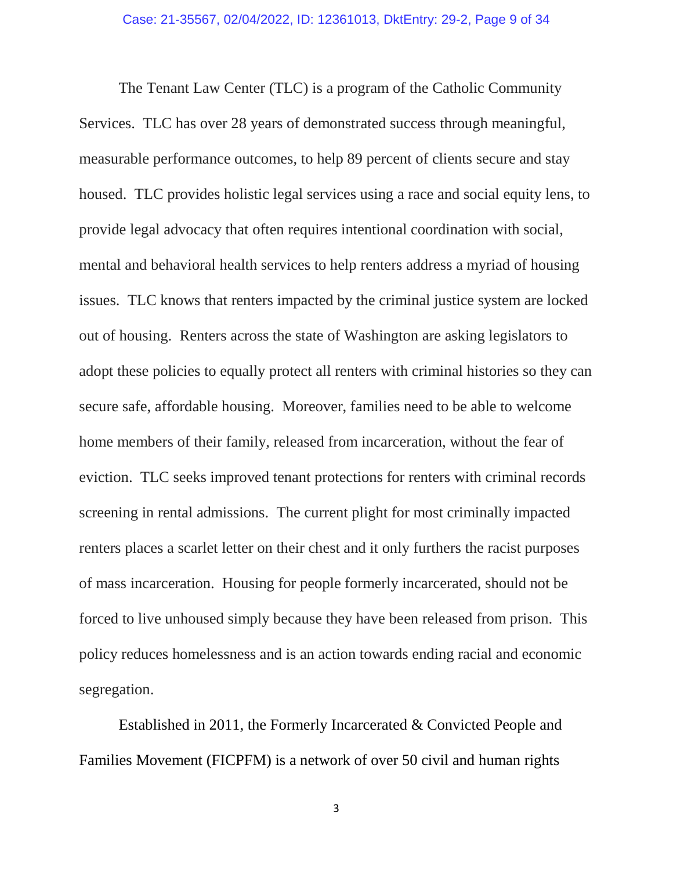The Tenant Law Center (TLC) is a program of the Catholic Community Services. TLC has over 28 years of demonstrated success through meaningful, measurable performance outcomes, to help 89 percent of clients secure and stay housed. TLC provides holistic legal services using a race and social equity lens, to provide legal advocacy that often requires intentional coordination with social, mental and behavioral health services to help renters address a myriad of housing issues. TLC knows that renters impacted by the criminal justice system are locked out of housing. Renters across the state of Washington are asking legislators to adopt these policies to equally protect all renters with criminal histories so they can secure safe, affordable housing. Moreover, families need to be able to welcome home members of their family, released from incarceration, without the fear of eviction. TLC seeks improved tenant protections for renters with criminal records screening in rental admissions. The current plight for most criminally impacted renters places a scarlet letter on their chest and it only furthers the racist purposes of mass incarceration. Housing for people formerly incarcerated, should not be forced to live unhoused simply because they have been released from prison. This policy reduces homelessness and is an action towards ending racial and economic segregation.

Established in 2011, the Formerly Incarcerated & Convicted People and Families Movement (FICPFM) is a network of over 50 civil and human rights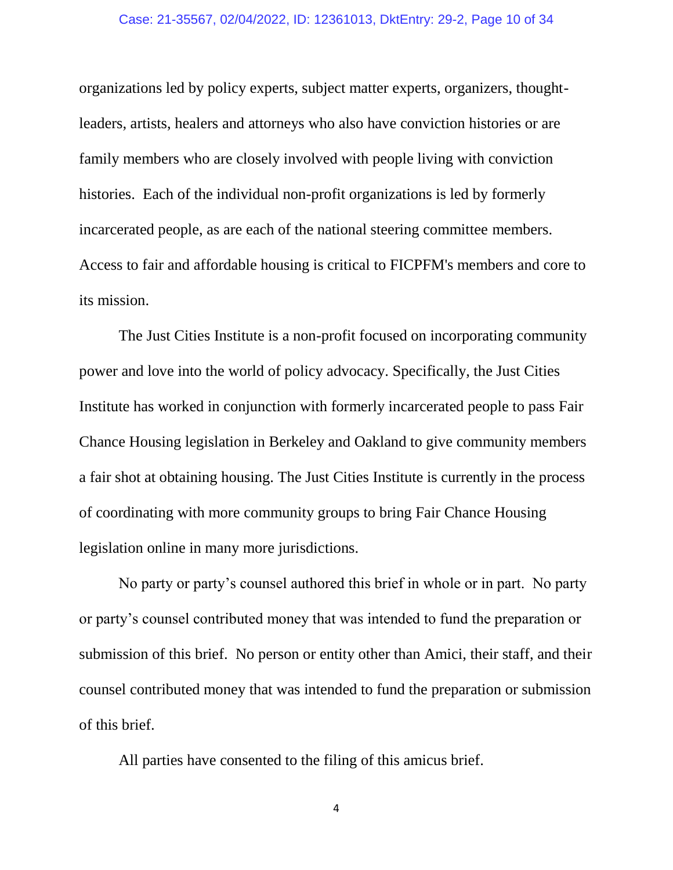organizations led by policy experts, subject matter experts, organizers, thoughtleaders, artists, healers and attorneys who also have conviction histories or are family members who are closely involved with people living with conviction histories. Each of the individual non-profit organizations is led by formerly incarcerated people, as are each of the national steering committee members. Access to fair and affordable housing is critical to FICPFM's members and core to its mission.

The Just Cities Institute is a non-profit focused on incorporating community power and love into the world of policy advocacy. Specifically, the Just Cities Institute has worked in conjunction with formerly incarcerated people to pass Fair Chance Housing legislation in Berkeley and Oakland to give community members a fair shot at obtaining housing. The Just Cities Institute is currently in the process of coordinating with more community groups to bring Fair Chance Housing legislation online in many more jurisdictions.

No party or party's counsel authored this brief in whole or in part. No party or party's counsel contributed money that was intended to fund the preparation or submission of this brief. No person or entity other than Amici, their staff, and their counsel contributed money that was intended to fund the preparation or submission of this brief.

All parties have consented to the filing of this amicus brief.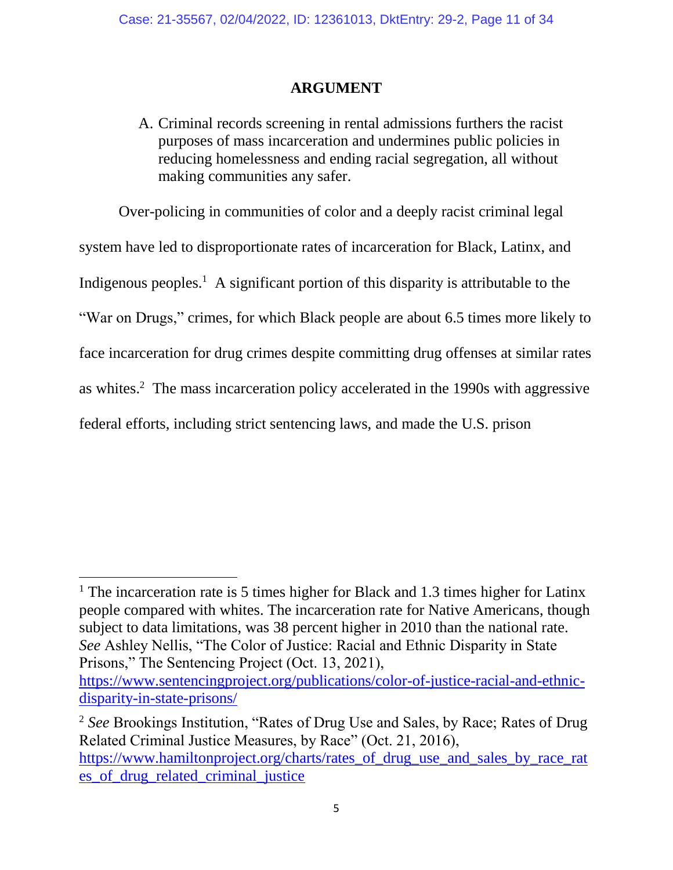## **ARGUMENT**

A. Criminal records screening in rental admissions furthers the racist purposes of mass incarceration and undermines public policies in reducing homelessness and ending racial segregation, all without making communities any safer.

Over-policing in communities of color and a deeply racist criminal legal system have led to disproportionate rates of incarceration for Black, Latinx, and Indigenous peoples.<sup>1</sup> A significant portion of this disparity is attributable to the "War on Drugs," crimes, for which Black people are about 6.5 times more likely to face incarceration for drug crimes despite committing drug offenses at similar rates as whites. 2 The mass incarceration policy accelerated in the 1990s with aggressive federal efforts, including strict sentencing laws, and made the U.S. prison

<sup>&</sup>lt;sup>1</sup> The incarceration rate is 5 times higher for Black and 1.3 times higher for Latinx people compared with whites. The incarceration rate for Native Americans, though subject to data limitations, was 38 percent higher in 2010 than the national rate. *See* Ashley Nellis, "The Color of Justice: Racial and Ethnic Disparity in State Prisons," The Sentencing Project (Oct. 13, 2021),

[https://www.sentencingproject.org/publications/color-of-justice-racial-and-ethnic](https://www.sentencingproject.org/publications/color-of-justice-racial-and-ethnic-disparity-in-state-prisons/)[disparity-in-state-prisons/](https://www.sentencingproject.org/publications/color-of-justice-racial-and-ethnic-disparity-in-state-prisons/)

<sup>2</sup> *See* Brookings Institution, "Rates of Drug Use and Sales, by Race; Rates of Drug Related Criminal Justice Measures, by Race" (Oct. 21, 2016), [https://www.hamiltonproject.org/charts/rates\\_of\\_drug\\_use\\_and\\_sales\\_by\\_race\\_rat](https://www.hamiltonproject.org/charts/rates_of_drug_use_and_sales_by_race_rates_of_drug_related_criminal_justice) [es\\_of\\_drug\\_related\\_criminal\\_justice](https://www.hamiltonproject.org/charts/rates_of_drug_use_and_sales_by_race_rates_of_drug_related_criminal_justice)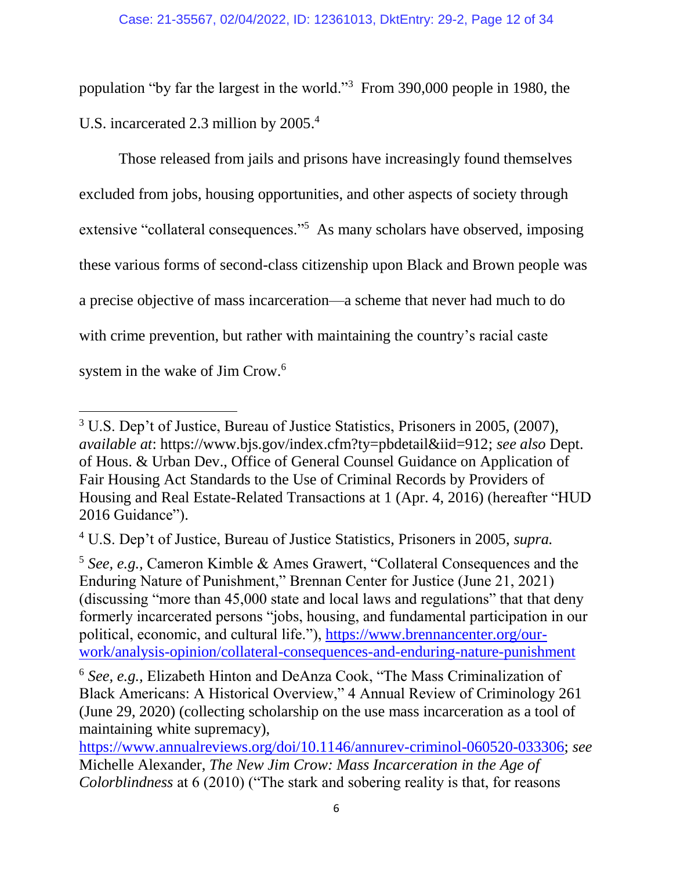population "by far the largest in the world."<sup>3</sup> From 390,000 people in 1980, the U.S. incarcerated 2.3 million by 2005. 4

Those released from jails and prisons have increasingly found themselves excluded from jobs, housing opportunities, and other aspects of society through extensive "collateral consequences."<sup>5</sup> As many scholars have observed, imposing these various forms of second-class citizenship upon Black and Brown people was a precise objective of mass incarceration—a scheme that never had much to do with crime prevention, but rather with maintaining the country's racial caste system in the wake of Jim Crow.<sup>6</sup>

<sup>3</sup> U.S. Dep't of Justice, Bureau of Justice Statistics, Prisoners in 2005, (2007), *available at*: https://www.bjs.gov/index.cfm?ty=pbdetail&iid=912; *see also* Dept. of Hous. & Urban Dev., Office of General Counsel Guidance on Application of Fair Housing Act Standards to the Use of Criminal Records by Providers of Housing and Real Estate-Related Transactions at 1 (Apr. 4, 2016) (hereafter "HUD 2016 Guidance").

<sup>4</sup> U.S. Dep't of Justice, Bureau of Justice Statistics, Prisoners in 2005, *supra.*

<sup>5</sup> *See, e.g.,* Cameron Kimble & Ames Grawert, "Collateral Consequences and the Enduring Nature of Punishment," Brennan Center for Justice (June 21, 2021) (discussing "more than 45,000 state and local laws and regulations" that that deny formerly incarcerated persons "jobs, housing, and fundamental participation in our political, economic, and cultural life."), [https://www.brennancenter.org/our](https://www.brennancenter.org/our-work/analysis-opinion/collateral-consequences-and-enduring-nature-punishment)[work/analysis-opinion/collateral-consequences-and-enduring-nature-punishment](https://www.brennancenter.org/our-work/analysis-opinion/collateral-consequences-and-enduring-nature-punishment)

<sup>6</sup> *See, e.g.,* Elizabeth Hinton and DeAnza Cook, "The Mass Criminalization of Black Americans: A Historical Overview," 4 Annual Review of Criminology 261 (June 29, 2020) (collecting scholarship on the use mass incarceration as a tool of maintaining white supremacy),

[https://www.annualreviews.org/doi/10.1146/annurev-criminol-060520-033306;](https://www.annualreviews.org/doi/10.1146/annurev-criminol-060520-033306) *see* Michelle Alexander, *The New Jim Crow: Mass Incarceration in the Age of Colorblindness* at 6 (2010) ("The stark and sobering reality is that, for reasons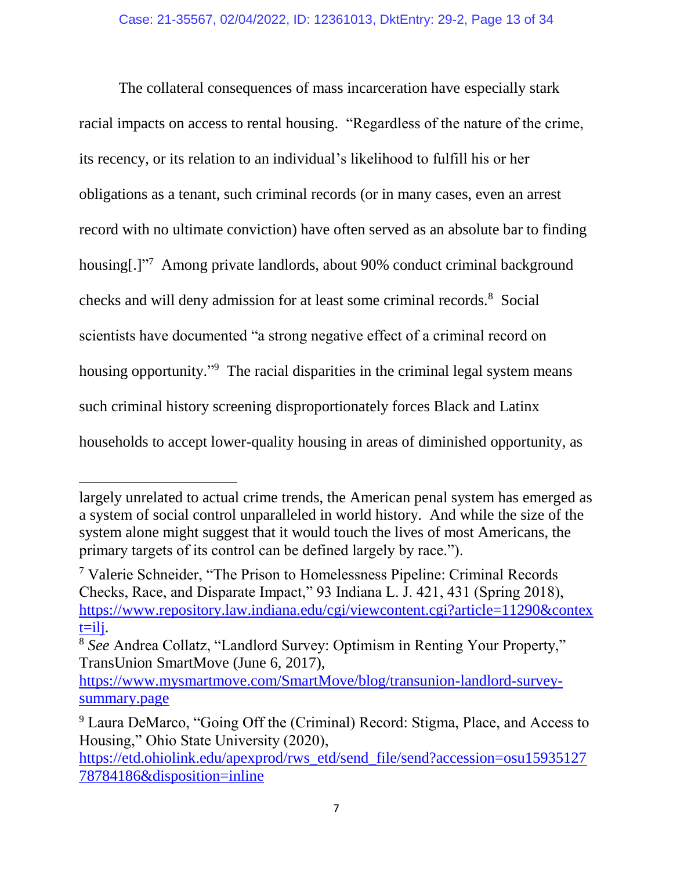The collateral consequences of mass incarceration have especially stark racial impacts on access to rental housing. "Regardless of the nature of the crime, its recency, or its relation to an individual's likelihood to fulfill his or her obligations as a tenant, such criminal records (or in many cases, even an arrest record with no ultimate conviction) have often served as an absolute bar to finding housing[.]"<sup>7</sup> Among private landlords, about 90% conduct criminal background checks and will deny admission for at least some criminal records.<sup>8</sup> Social scientists have documented "a strong negative effect of a criminal record on housing opportunity."<sup>9</sup> The racial disparities in the criminal legal system means such criminal history screening disproportionately forces Black and Latinx households to accept lower-quality housing in areas of diminished opportunity, as

largely unrelated to actual crime trends, the American penal system has emerged as a system of social control unparalleled in world history. And while the size of the system alone might suggest that it would touch the lives of most Americans, the primary targets of its control can be defined largely by race.").

<sup>7</sup> Valerie Schneider, "The Prison to Homelessness Pipeline: Criminal Records Checks, Race, and Disparate Impact," 93 Indiana L. J. 421, 431 (Spring 2018), [https://www.repository.law.indiana.edu/cgi/viewcontent.cgi?article=11290&contex](https://www.repository.law.indiana.edu/cgi/viewcontent.cgi?article=11290&context=ilj)  $t=$ ilj.

<sup>8</sup> *See* Andrea Collatz, "Landlord Survey: Optimism in Renting Your Property," TransUnion SmartMove (June 6, 2017),

[https://www.mysmartmove.com/SmartMove/blog/transunion-landlord-survey](https://www.mysmartmove.com/SmartMove/blog/transunion-landlord-survey-summary.page)[summary.page](https://www.mysmartmove.com/SmartMove/blog/transunion-landlord-survey-summary.page)

<sup>9</sup> Laura DeMarco, "Going Off the (Criminal) Record: Stigma, Place, and Access to Housing," Ohio State University (2020),

[https://etd.ohiolink.edu/apexprod/rws\\_etd/send\\_file/send?accession=osu15935127](https://etd.ohiolink.edu/apexprod/rws_etd/send_file/send?accession=osu1593512778784186&disposition=inline) [78784186&disposition=inline](https://etd.ohiolink.edu/apexprod/rws_etd/send_file/send?accession=osu1593512778784186&disposition=inline)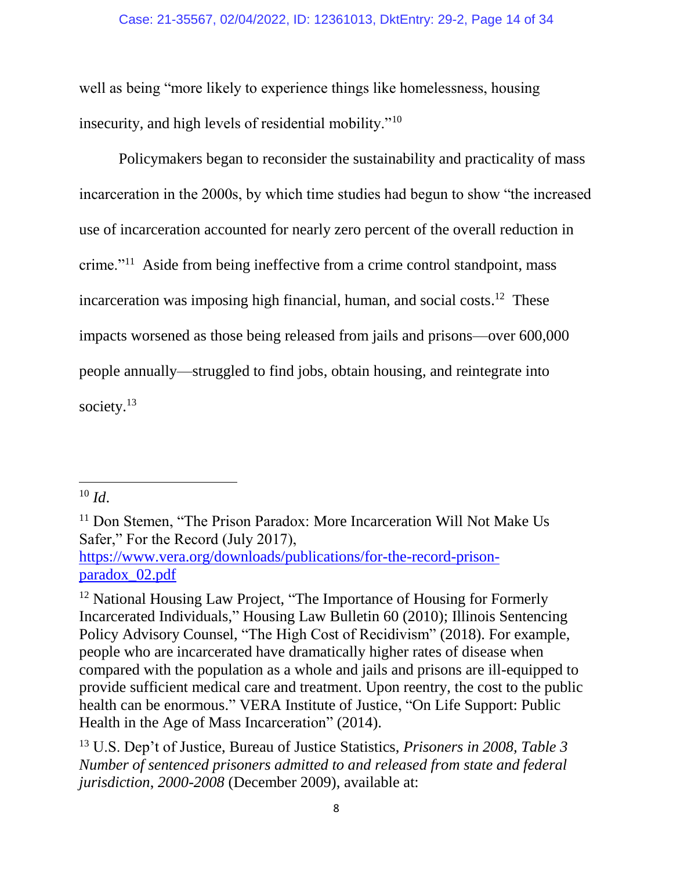### Case: 21-35567, 02/04/2022, ID: 12361013, DktEntry: 29-2, Page 14 of 34

well as being "more likely to experience things like homelessness, housing insecurity, and high levels of residential mobility."<sup>10</sup>

Policymakers began to reconsider the sustainability and practicality of mass incarceration in the 2000s, by which time studies had begun to show "the increased use of incarceration accounted for nearly zero percent of the overall reduction in crime."<sup>11</sup> Aside from being ineffective from a crime control standpoint, mass incarceration was imposing high financial, human, and social costs. 12 These impacts worsened as those being released from jails and prisons—over 600,000 people annually—struggled to find jobs, obtain housing, and reintegrate into society.<sup>13</sup>

 $10$  *Id.* 

<sup>&</sup>lt;sup>11</sup> Don Stemen, "The Prison Paradox: More Incarceration Will Not Make Us Safer," For the Record (July 2017), [https://www.vera.org/downloads/publications/for-the-record-prison](https://www.vera.org/downloads/publications/for-the-record-prison-paradox_02.pdf)[paradox\\_02.pdf](https://www.vera.org/downloads/publications/for-the-record-prison-paradox_02.pdf)

<sup>&</sup>lt;sup>12</sup> National Housing Law Project, "The Importance of Housing for Formerly Incarcerated Individuals," Housing Law Bulletin 60 (2010); Illinois Sentencing Policy Advisory Counsel, "The High Cost of Recidivism" (2018). For example, people who are incarcerated have dramatically higher rates of disease when compared with the population as a whole and jails and prisons are ill-equipped to provide sufficient medical care and treatment. Upon reentry, the cost to the public health can be enormous." VERA Institute of Justice, "On Life Support: Public Health in the Age of Mass Incarceration" (2014).

<sup>13</sup> U.S. Dep't of Justice, Bureau of Justice Statistics, *Prisoners in 2008, Table 3 Number of sentenced prisoners admitted to and released from state and federal jurisdiction*, *2000-2008* (December 2009), available at: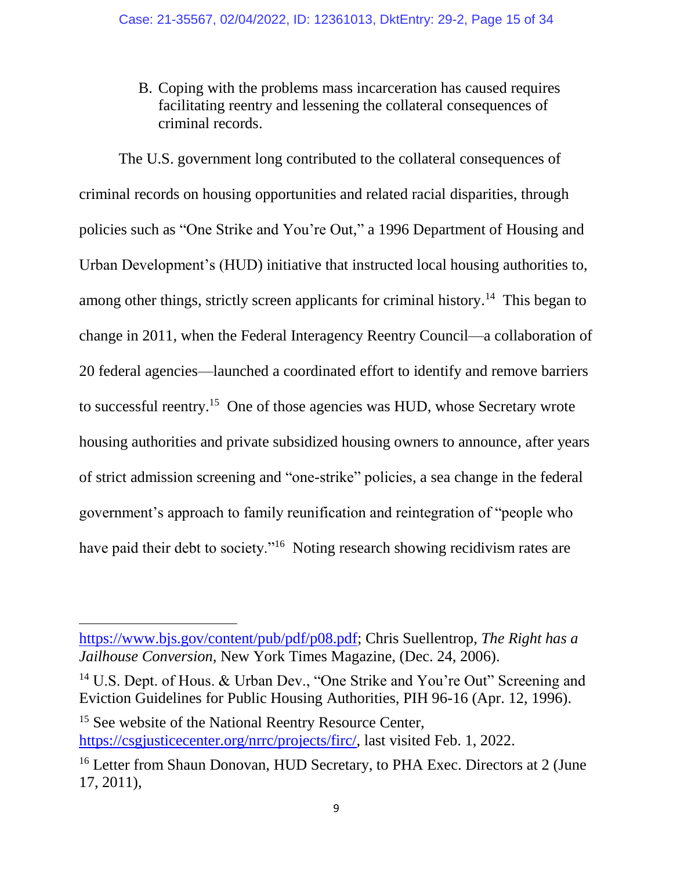B. Coping with the problems mass incarceration has caused requires facilitating reentry and lessening the collateral consequences of criminal records.

The U.S. government long contributed to the collateral consequences of criminal records on housing opportunities and related racial disparities, through policies such as "One Strike and You're Out," a 1996 Department of Housing and Urban Development's (HUD) initiative that instructed local housing authorities to, among other things, strictly screen applicants for criminal history.<sup>14</sup> This began to change in 2011, when the Federal Interagency Reentry Council—a collaboration of 20 federal agencies—launched a coordinated effort to identify and remove barriers to successful reentry.<sup>15</sup> One of those agencies was HUD, whose Secretary wrote housing authorities and private subsidized housing owners to announce, after years of strict admission screening and "one-strike" policies, a sea change in the federal government's approach to family reunification and reintegration of "people who have paid their debt to society."<sup>16</sup> Noting research showing recidivism rates are

[https://www.bjs.gov/content/pub/pdf/p08.pdf;](https://www.bjs.gov/content/pub/pdf/p08.pdf) Chris Suellentrop, *The Right has a Jailhouse Conversion*, New York Times Magazine, (Dec. 24, 2006).

<sup>&</sup>lt;sup>14</sup> U.S. Dept. of Hous. & Urban Dev., "One Strike and You're Out" Screening and Eviction Guidelines for Public Housing Authorities, PIH 96-16 (Apr. 12, 1996).

<sup>&</sup>lt;sup>15</sup> See website of the National Reentry Resource Center, [https://csgjusticecenter.org/nrrc/projects/firc/,](https://csgjusticecenter.org/nrrc/projects/firc/) last visited Feb. 1, 2022.

<sup>&</sup>lt;sup>16</sup> Letter from Shaun Donovan, HUD Secretary, to PHA Exec. Directors at 2 (June 17, 2011),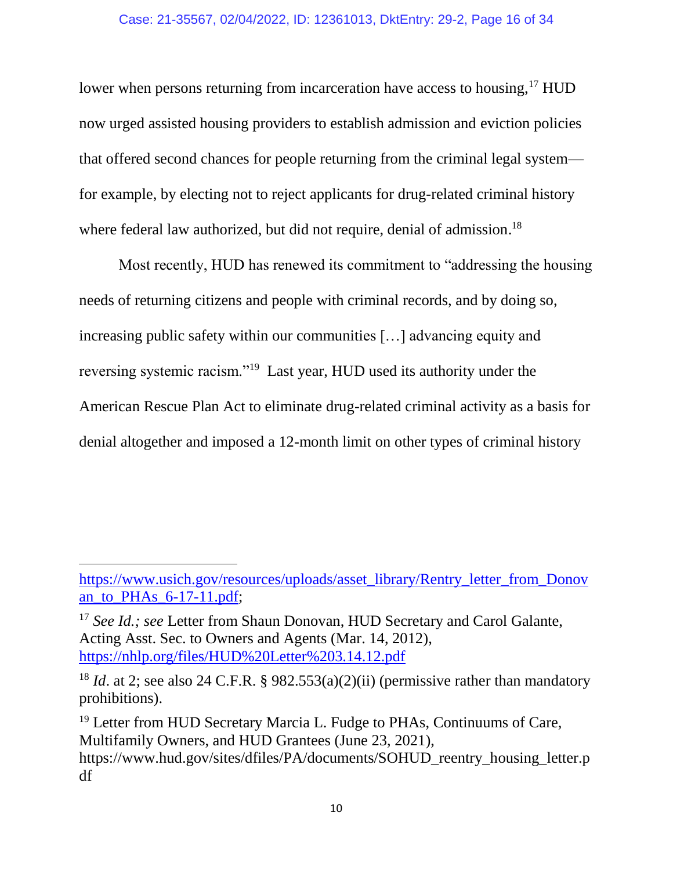lower when persons returning from incarceration have access to housing,<sup>17</sup> HUD now urged assisted housing providers to establish admission and eviction policies that offered second chances for people returning from the criminal legal system for example, by electing not to reject applicants for drug-related criminal history where federal law authorized, but did not require, denial of admission.<sup>18</sup>

Most recently, HUD has renewed its commitment to "addressing the housing needs of returning citizens and people with criminal records, and by doing so, increasing public safety within our communities […] advancing equity and reversing systemic racism."<sup>19</sup> Last year, HUD used its authority under the American Rescue Plan Act to eliminate drug-related criminal activity as a basis for denial altogether and imposed a 12-month limit on other types of criminal history

[https://www.usich.gov/resources/uploads/asset\\_library/Rentry\\_letter\\_from\\_Donov](https://www.usich.gov/resources/uploads/asset_library/Rentry_letter_from_Donovan_to_PHAs_6-17-11.pdf) [an\\_to\\_PHAs\\_6-17-11.pdf;](https://www.usich.gov/resources/uploads/asset_library/Rentry_letter_from_Donovan_to_PHAs_6-17-11.pdf)

<sup>&</sup>lt;sup>17</sup> *See Id.; see Letter from Shaun Donovan, HUD Secretary and Carol Galante,* Acting Asst. Sec. to Owners and Agents (Mar. 14, 2012), <https://nhlp.org/files/HUD%20Letter%203.14.12.pdf>

<sup>&</sup>lt;sup>18</sup> *Id.* at 2; see also 24 C.F.R. § 982.553(a)(2)(ii) (permissive rather than mandatory prohibitions).

<sup>&</sup>lt;sup>19</sup> Letter from HUD Secretary Marcia L. Fudge to PHAs, Continuums of Care, Multifamily Owners, and HUD Grantees (June 23, 2021), https://www.hud.gov/sites/dfiles/PA/documents/SOHUD\_reentry\_housing\_letter.p df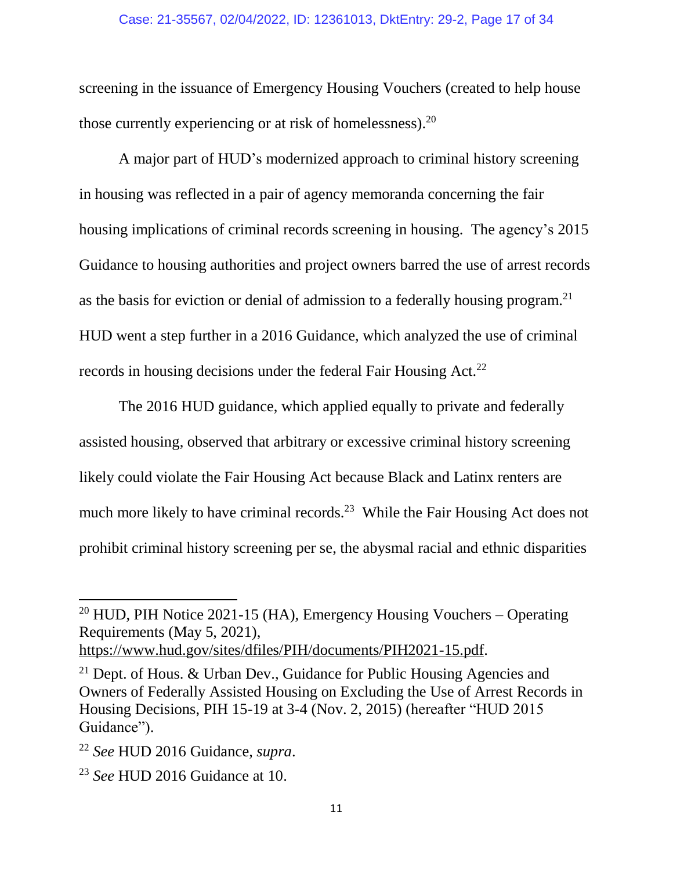#### Case: 21-35567, 02/04/2022, ID: 12361013, DktEntry: 29-2, Page 17 of 34

screening in the issuance of Emergency Housing Vouchers (created to help house those currently experiencing or at risk of homelessness).<sup>20</sup>

A major part of HUD's modernized approach to criminal history screening in housing was reflected in a pair of agency memoranda concerning the fair housing implications of criminal records screening in housing. The agency's 2015 Guidance to housing authorities and project owners barred the use of arrest records as the basis for eviction or denial of admission to a federally housing program.<sup>21</sup> HUD went a step further in a 2016 Guidance, which analyzed the use of criminal records in housing decisions under the federal Fair Housing Act.<sup>22</sup>

The 2016 HUD guidance, which applied equally to private and federally assisted housing, observed that arbitrary or excessive criminal history screening likely could violate the Fair Housing Act because Black and Latinx renters are much more likely to have criminal records.<sup>23</sup> While the Fair Housing Act does not prohibit criminal history screening per se, the abysmal racial and ethnic disparities

 $20$  HUD, PIH Notice 2021-15 (HA), Emergency Housing Vouchers – Operating Requirements (May 5, 2021),

[https://www.hud.gov/sites/dfiles/PIH/documents/PIH2021-15.pdf.](https://www.hud.gov/sites/dfiles/PIH/documents/PIH2021-15.pdf)

<sup>21</sup> Dept. of Hous. & Urban Dev., Guidance for Public Housing Agencies and Owners of Federally Assisted Housing on Excluding the Use of Arrest Records in Housing Decisions, PIH 15-19 at 3-4 (Nov. 2, 2015) (hereafter "HUD 2015 Guidance").

<sup>22</sup> *See* HUD 2016 Guidance, *supra*.

<sup>23</sup> *See* HUD 2016 Guidance at 10.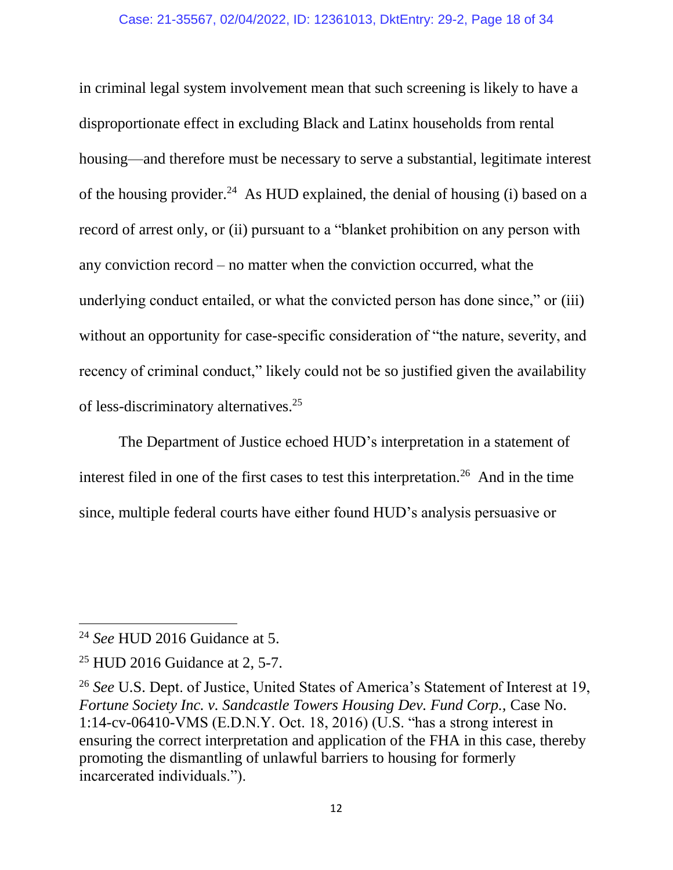#### Case: 21-35567, 02/04/2022, ID: 12361013, DktEntry: 29-2, Page 18 of 34

in criminal legal system involvement mean that such screening is likely to have a disproportionate effect in excluding Black and Latinx households from rental housing—and therefore must be necessary to serve a substantial, legitimate interest of the housing provider.<sup>24</sup> As HUD explained, the denial of housing (i) based on a record of arrest only, or (ii) pursuant to a "blanket prohibition on any person with any conviction record – no matter when the conviction occurred, what the underlying conduct entailed, or what the convicted person has done since," or (iii) without an opportunity for case-specific consideration of "the nature, severity, and recency of criminal conduct," likely could not be so justified given the availability of less-discriminatory alternatives.<sup>25</sup>

The Department of Justice echoed HUD's interpretation in a statement of interest filed in one of the first cases to test this interpretation.<sup>26</sup> And in the time since, multiple federal courts have either found HUD's analysis persuasive or

<sup>24</sup> *See* HUD 2016 Guidance at 5.

 $25$  HUD 2016 Guidance at 2, 5-7.

<sup>26</sup> *See* U.S. Dept. of Justice, United States of America's Statement of Interest at 19, *Fortune Society Inc. v. Sandcastle Towers Housing Dev. Fund Corp.,* Case No. 1:14-cv-06410-VMS (E.D.N.Y. Oct. 18, 2016) (U.S. "has a strong interest in ensuring the correct interpretation and application of the FHA in this case, thereby promoting the dismantling of unlawful barriers to housing for formerly incarcerated individuals.").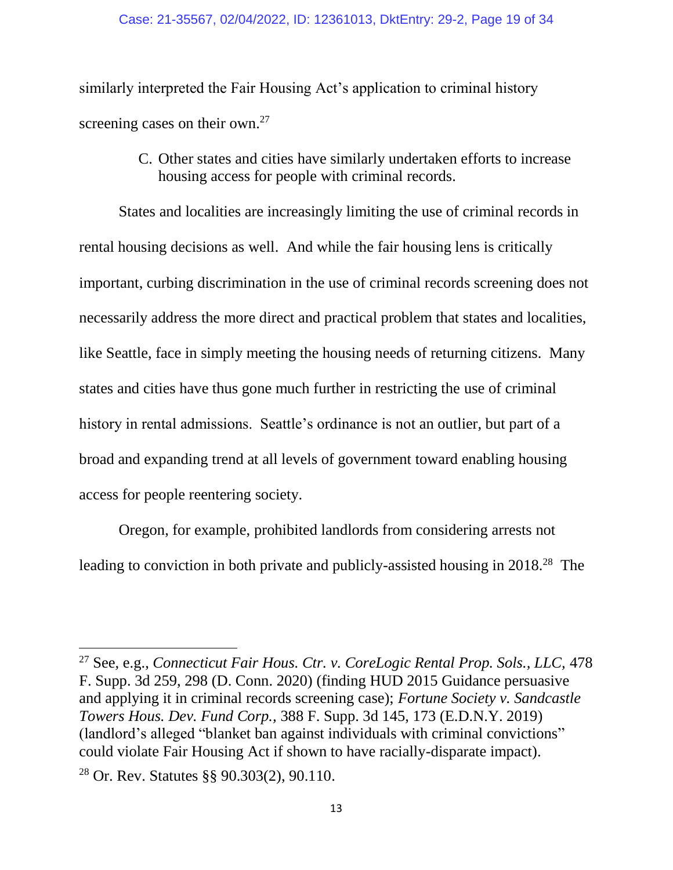similarly interpreted the Fair Housing Act's application to criminal history screening cases on their own.<sup>27</sup>

> C. Other states and cities have similarly undertaken efforts to increase housing access for people with criminal records.

States and localities are increasingly limiting the use of criminal records in rental housing decisions as well. And while the fair housing lens is critically important, curbing discrimination in the use of criminal records screening does not necessarily address the more direct and practical problem that states and localities, like Seattle, face in simply meeting the housing needs of returning citizens. Many states and cities have thus gone much further in restricting the use of criminal history in rental admissions. Seattle's ordinance is not an outlier, but part of a broad and expanding trend at all levels of government toward enabling housing access for people reentering society.

Oregon, for example, prohibited landlords from considering arrests not leading to conviction in both private and publicly-assisted housing in 2018.<sup>28</sup> The

 $\overline{a}$ 

<sup>27</sup> See, e.g., *Connecticut Fair Hous. Ctr. v. CoreLogic Rental Prop. Sols., LLC,* 478 F. Supp. 3d 259, 298 (D. Conn. 2020) (finding HUD 2015 Guidance persuasive and applying it in criminal records screening case); *Fortune Society v. Sandcastle Towers Hous. Dev. Fund Corp.,* 388 F. Supp. 3d 145, 173 (E.D.N.Y. 2019) (landlord's alleged "blanket ban against individuals with criminal convictions" could violate Fair Housing Act if shown to have racially-disparate impact).

<sup>28</sup> Or. Rev. Statutes §§ 90.303(2), 90.110.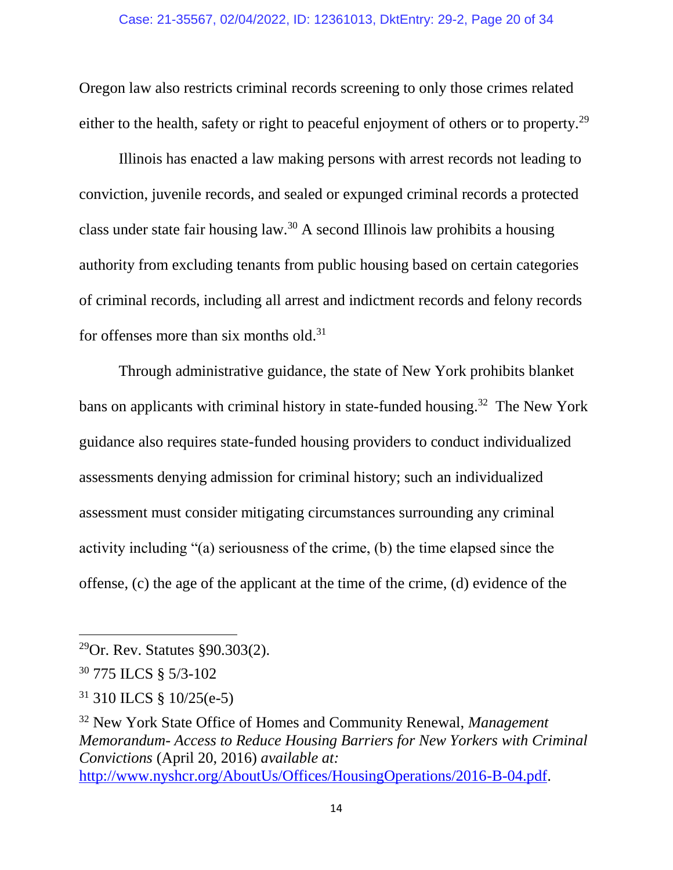Oregon law also restricts criminal records screening to only those crimes related either to the health, safety or right to peaceful enjoyment of others or to property.<sup>29</sup>

Illinois has enacted a law making persons with arrest records not leading to conviction, juvenile records, and sealed or expunged criminal records a protected class under state fair housing law.<sup>30</sup> A second Illinois law prohibits a housing authority from excluding tenants from public housing based on certain categories of criminal records, including all arrest and indictment records and felony records for offenses more than six months old.<sup>31</sup>

Through administrative guidance, the state of New York prohibits blanket bans on applicants with criminal history in state-funded housing.<sup>32</sup> The New York guidance also requires state-funded housing providers to conduct individualized assessments denying admission for criminal history; such an individualized assessment must consider mitigating circumstances surrounding any criminal activity including "(a) seriousness of the crime, (b) the time elapsed since the offense, (c) the age of the applicant at the time of the crime, (d) evidence of the

 $\overline{a}$ 

<sup>31</sup> 310 ILCS § 10/25(e-5)

<sup>32</sup> New York State Office of Homes and Community Renewal, *Management Memorandum- Access to Reduce Housing Barriers for New Yorkers with Criminal Convictions* (April 20, 2016) *available at:*  [http://www.nyshcr.org/AboutUs/Offices/HousingOperations/2016-B-04.pdf.](http://www.nyshcr.org/AboutUs/Offices/HousingOperations/2016-B-04.pdf)

<sup>29</sup>Or. Rev. Statutes §90.303(2).

<sup>30</sup> 775 ILCS § 5/3-102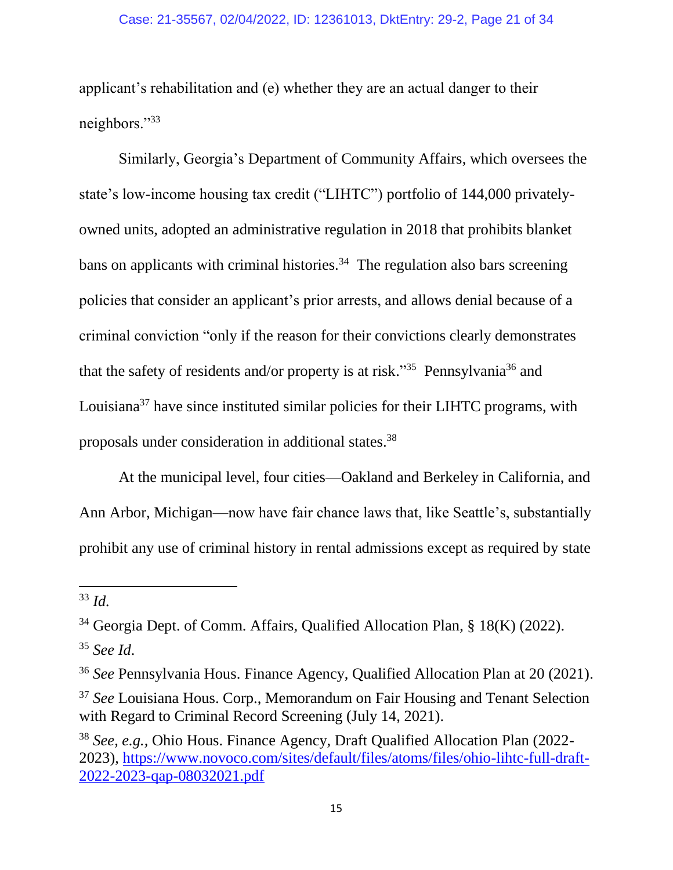applicant's rehabilitation and (e) whether they are an actual danger to their neighbors."<sup>33</sup>

Similarly, Georgia's Department of Community Affairs, which oversees the state's low-income housing tax credit ("LIHTC") portfolio of 144,000 privatelyowned units, adopted an administrative regulation in 2018 that prohibits blanket bans on applicants with criminal histories.<sup>34</sup> The regulation also bars screening policies that consider an applicant's prior arrests, and allows denial because of a criminal conviction "only if the reason for their convictions clearly demonstrates that the safety of residents and/or property is at risk."<sup>35</sup> Pennsylvania<sup>36</sup> and Louisiana<sup>37</sup> have since instituted similar policies for their LIHTC programs, with proposals under consideration in additional states. 38

At the municipal level, four cities—Oakland and Berkeley in California, and Ann Arbor, Michigan—now have fair chance laws that, like Seattle's, substantially prohibit any use of criminal history in rental admissions except as required by state

<sup>33</sup> *Id.*

<sup>34</sup> Georgia Dept. of Comm. Affairs, Qualified Allocation Plan, § 18(K) (2022).

<sup>35</sup> *See Id*.

<sup>36</sup> *See* Pennsylvania Hous. Finance Agency, Qualified Allocation Plan at 20 (2021).

<sup>37</sup> *See* Louisiana Hous. Corp., Memorandum on Fair Housing and Tenant Selection with Regard to Criminal Record Screening (July 14, 2021).

<sup>38</sup> *See, e.g.,* Ohio Hous. Finance Agency, Draft Qualified Allocation Plan (2022- 2023), [https://www.novoco.com/sites/default/files/atoms/files/ohio-lihtc-full-draft-](https://www.novoco.com/sites/default/files/atoms/files/ohio-lihtc-full-draft-2022-2023-qap-08032021.pdf)[2022-2023-qap-08032021.pdf](https://www.novoco.com/sites/default/files/atoms/files/ohio-lihtc-full-draft-2022-2023-qap-08032021.pdf)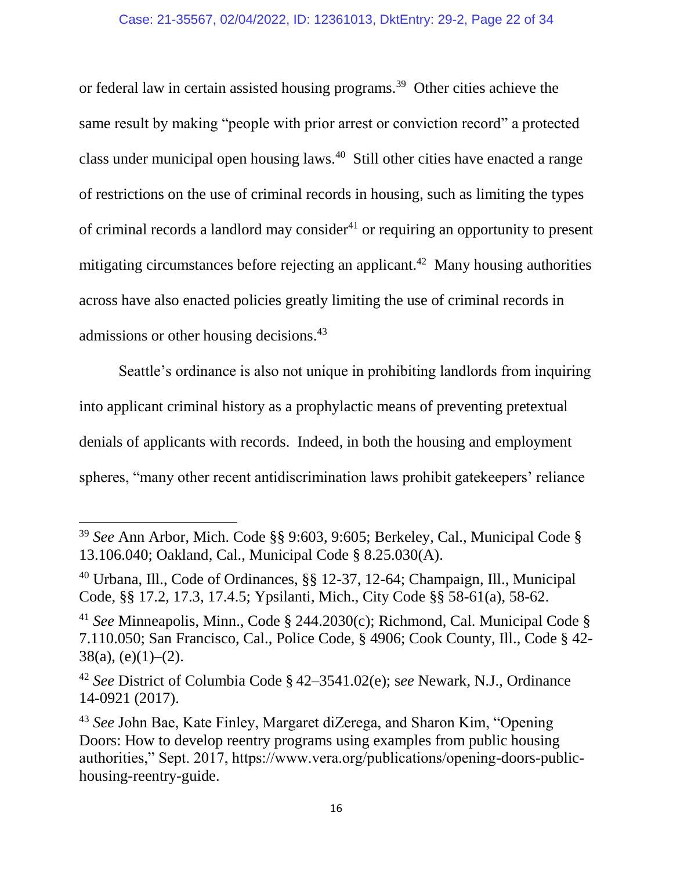or federal law in certain assisted housing programs.<sup>39</sup> Other cities achieve the same result by making "people with prior arrest or conviction record" a protected class under municipal open housing laws.<sup>40</sup> Still other cities have enacted a range of restrictions on the use of criminal records in housing, such as limiting the types of criminal records a landlord may consider<sup>41</sup> or requiring an opportunity to present mitigating circumstances before rejecting an applicant.<sup>42</sup> Many housing authorities across have also enacted policies greatly limiting the use of criminal records in admissions or other housing decisions.<sup>43</sup>

Seattle's ordinance is also not unique in prohibiting landlords from inquiring into applicant criminal history as a prophylactic means of preventing pretextual denials of applicants with records. Indeed, in both the housing and employment spheres, "many other recent antidiscrimination laws prohibit gatekeepers' reliance

<sup>39</sup> *See* Ann Arbor, Mich. Code §§ 9:603, 9:605; Berkeley, Cal., Municipal Code § 13.106.040; Oakland, Cal., Municipal Code § 8.25.030(A).

<sup>40</sup> Urbana, Ill., Code of Ordinances, §§ 12-37, 12-64; Champaign, Ill., Municipal Code, §§ 17.2, 17.3, 17.4.5; Ypsilanti, Mich., City Code §§ 58-61(a), 58-62.

<sup>41</sup> *See* Minneapolis, Minn., Code § 244.2030(c); Richmond, Cal. Municipal Code § 7.110.050; San Francisco, Cal., Police Code, § 4906; Cook County, Ill., Code § 42-  $38(a)$ , (e)(1)–(2).

<sup>42</sup> *See* District of Columbia Code § 42–3541.02(e); s*ee* Newark, N.J., Ordinance 14-0921 (2017).

<sup>43</sup> *See* John Bae, Kate Finley, Margaret diZerega, and Sharon Kim, "Opening Doors: How to develop reentry programs using examples from public housing authorities," Sept. 2017, https://www.vera.org/publications/opening-doors-publichousing-reentry-guide.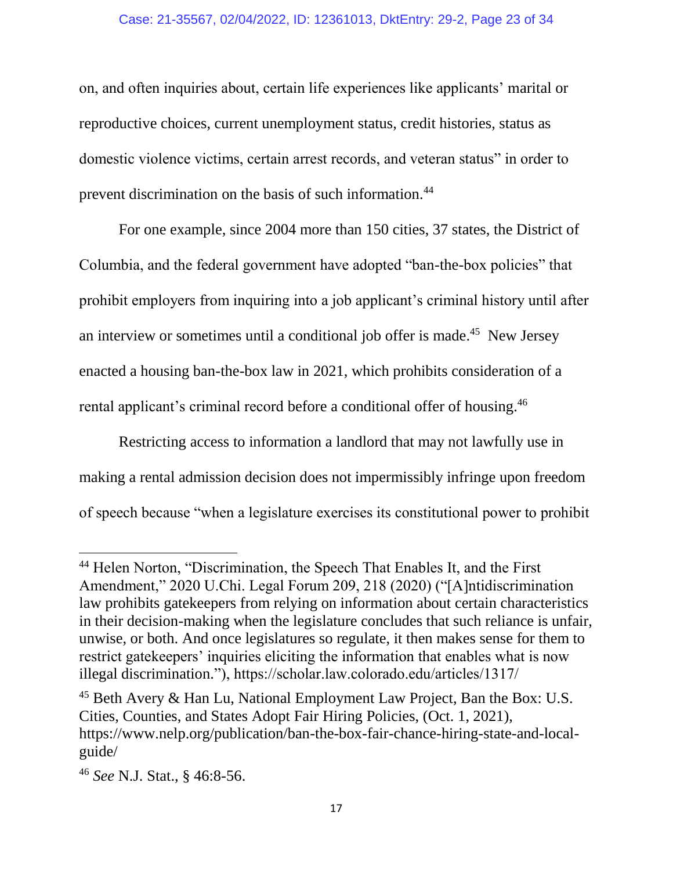#### Case: 21-35567, 02/04/2022, ID: 12361013, DktEntry: 29-2, Page 23 of 34

on, and often inquiries about, certain life experiences like applicants' marital or reproductive choices, current unemployment status, credit histories, status as domestic violence victims, certain arrest records, and veteran status" in order to prevent discrimination on the basis of such information.<sup>44</sup>

For one example, since 2004 more than 150 cities, 37 states, the District of Columbia, and the federal government have adopted "ban-the-box policies" that prohibit employers from inquiring into a job applicant's criminal history until after an interview or sometimes until a conditional job offer is made.<sup>45</sup> New Jersey enacted a housing ban-the-box law in 2021, which prohibits consideration of a rental applicant's criminal record before a conditional offer of housing.<sup>46</sup>

Restricting access to information a landlord that may not lawfully use in making a rental admission decision does not impermissibly infringe upon freedom of speech because "when a legislature exercises its constitutional power to prohibit

<sup>&</sup>lt;sup>44</sup> Helen Norton, "Discrimination, the Speech That Enables It, and the First Amendment," 2020 U.Chi. Legal Forum 209, 218 (2020) ("[A]ntidiscrimination law prohibits gatekeepers from relying on information about certain characteristics in their decision-making when the legislature concludes that such reliance is unfair, unwise, or both. And once legislatures so regulate, it then makes sense for them to restrict gatekeepers' inquiries eliciting the information that enables what is now illegal discrimination."), https://scholar.law.colorado.edu/articles/1317/

<sup>45</sup> Beth Avery & Han Lu, National Employment Law Project, Ban the Box: U.S. Cities, Counties, and States Adopt Fair Hiring Policies, (Oct. 1, 2021), https://www.nelp.org/publication/ban-the-box-fair-chance-hiring-state-and-localguide/

<sup>46</sup> *See* N.J. Stat., § 46:8-56.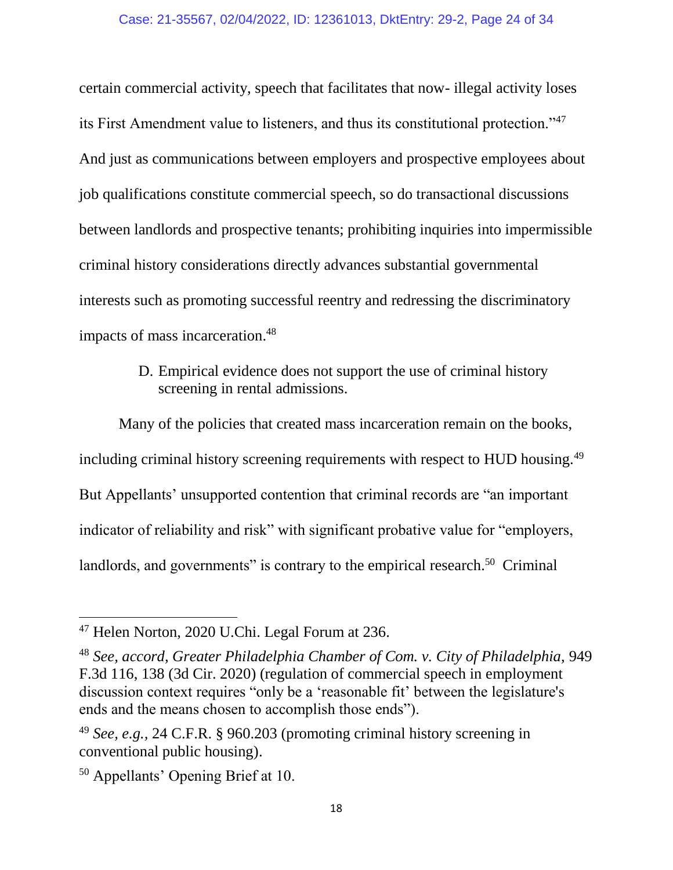certain commercial activity, speech that facilitates that now- illegal activity loses its First Amendment value to listeners, and thus its constitutional protection."<sup>47</sup> And just as communications between employers and prospective employees about job qualifications constitute commercial speech, so do transactional discussions between landlords and prospective tenants; prohibiting inquiries into impermissible criminal history considerations directly advances substantial governmental interests such as promoting successful reentry and redressing the discriminatory impacts of mass incarceration.<sup>48</sup>

> D. Empirical evidence does not support the use of criminal history screening in rental admissions.

Many of the policies that created mass incarceration remain on the books, including criminal history screening requirements with respect to HUD housing.<sup>49</sup> But Appellants' unsupported contention that criminal records are "an important indicator of reliability and risk" with significant probative value for "employers, landlords, and governments" is contrary to the empirical research.<sup>50</sup> Criminal

<sup>&</sup>lt;sup>47</sup> Helen Norton, 2020 U.Chi. Legal Forum at 236.

<sup>48</sup> *See, accord, Greater Philadelphia Chamber of Com. v. City of Philadelphia,* 949 F.3d 116, 138 (3d Cir. 2020) (regulation of commercial speech in employment discussion context requires "only be a 'reasonable fit' between the legislature's ends and the means chosen to accomplish those ends").

<sup>49</sup> *See, e.g.,* 24 C.F.R. § 960.203 (promoting criminal history screening in conventional public housing).

<sup>50</sup> Appellants' Opening Brief at 10.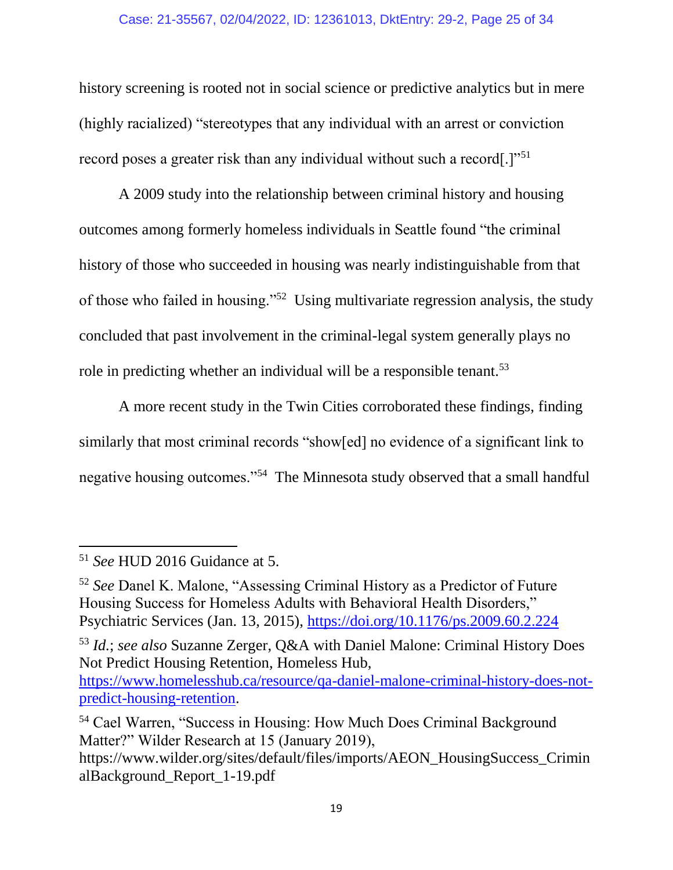### Case: 21-35567, 02/04/2022, ID: 12361013, DktEntry: 29-2, Page 25 of 34

history screening is rooted not in social science or predictive analytics but in mere (highly racialized) "stereotypes that any individual with an arrest or conviction record poses a greater risk than any individual without such a record[.]"<sup>51</sup>

A 2009 study into the relationship between criminal history and housing outcomes among formerly homeless individuals in Seattle found "the criminal history of those who succeeded in housing was nearly indistinguishable from that of those who failed in housing."<sup>52</sup> Using multivariate regression analysis, the study concluded that past involvement in the criminal-legal system generally plays no role in predicting whether an individual will be a responsible tenant.<sup>53</sup>

A more recent study in the Twin Cities corroborated these findings, finding similarly that most criminal records "show[ed] no evidence of a significant link to negative housing outcomes."<sup>54</sup> The Minnesota study observed that a small handful

l

<sup>53</sup> *Id.*; *see also* Suzanne Zerger, Q&A with Daniel Malone: Criminal History Does Not Predict Housing Retention, Homeless Hub,

<sup>51</sup> *See* HUD 2016 Guidance at 5.

<sup>52</sup> *See* Danel K. Malone, "Assessing Criminal History as a Predictor of Future Housing Success for Homeless Adults with Behavioral Health Disorders," Psychiatric Services (Jan. 13, 2015),<https://doi.org/10.1176/ps.2009.60.2.224>

[https://www.homelesshub.ca/resource/qa-daniel-malone-criminal-history-does-not](https://www.homelesshub.ca/resource/qa-daniel-malone-criminal-history-does-not-predict-housing-retention)[predict-housing-retention.](https://www.homelesshub.ca/resource/qa-daniel-malone-criminal-history-does-not-predict-housing-retention)

<sup>54</sup> Cael Warren, "Success in Housing: How Much Does Criminal Background Matter?" Wilder Research at 15 (January 2019),

https://www.wilder.org/sites/default/files/imports/AEON\_HousingSuccess\_Crimin alBackground\_Report\_1-19.pdf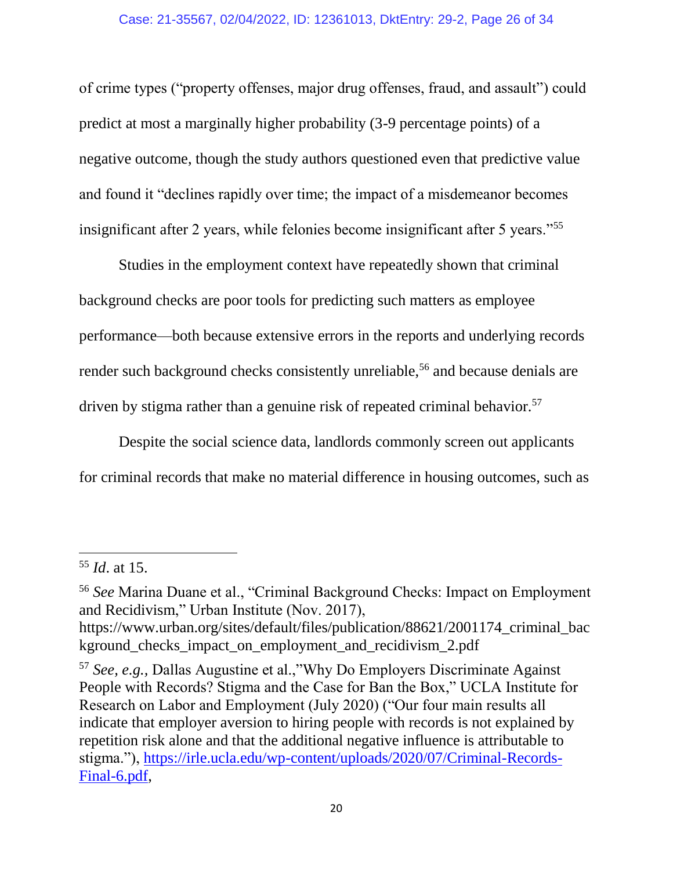### Case: 21-35567, 02/04/2022, ID: 12361013, DktEntry: 29-2, Page 26 of 34

of crime types ("property offenses, major drug offenses, fraud, and assault") could predict at most a marginally higher probability (3-9 percentage points) of a negative outcome, though the study authors questioned even that predictive value and found it "declines rapidly over time; the impact of a misdemeanor becomes insignificant after 2 years, while felonies become insignificant after 5 years."<sup>55</sup>

Studies in the employment context have repeatedly shown that criminal background checks are poor tools for predicting such matters as employee performance—both because extensive errors in the reports and underlying records render such background checks consistently unreliable,<sup>56</sup> and because denials are driven by stigma rather than a genuine risk of repeated criminal behavior.<sup>57</sup>

Despite the social science data, landlords commonly screen out applicants for criminal records that make no material difference in housing outcomes, such as

<sup>55</sup> *Id*. at 15.

<sup>56</sup> *See* Marina Duane et al., "Criminal Background Checks: Impact on Employment and Recidivism," Urban Institute (Nov. 2017),

https://www.urban.org/sites/default/files/publication/88621/2001174\_criminal\_bac kground checks impact on employment and recidivism 2.pdf

<sup>57</sup> *See, e.g.,* Dallas Augustine et al.,"Why Do Employers Discriminate Against People with Records? Stigma and the Case for Ban the Box," UCLA Institute for Research on Labor and Employment (July 2020) ("Our four main results all indicate that employer aversion to hiring people with records is not explained by repetition risk alone and that the additional negative influence is attributable to stigma."), [https://irle.ucla.edu/wp-content/uploads/2020/07/Criminal-Records-](https://irle.ucla.edu/wp-content/uploads/2020/07/Criminal-Records-Final-6.pdf)[Final-6.pdf,](https://irle.ucla.edu/wp-content/uploads/2020/07/Criminal-Records-Final-6.pdf)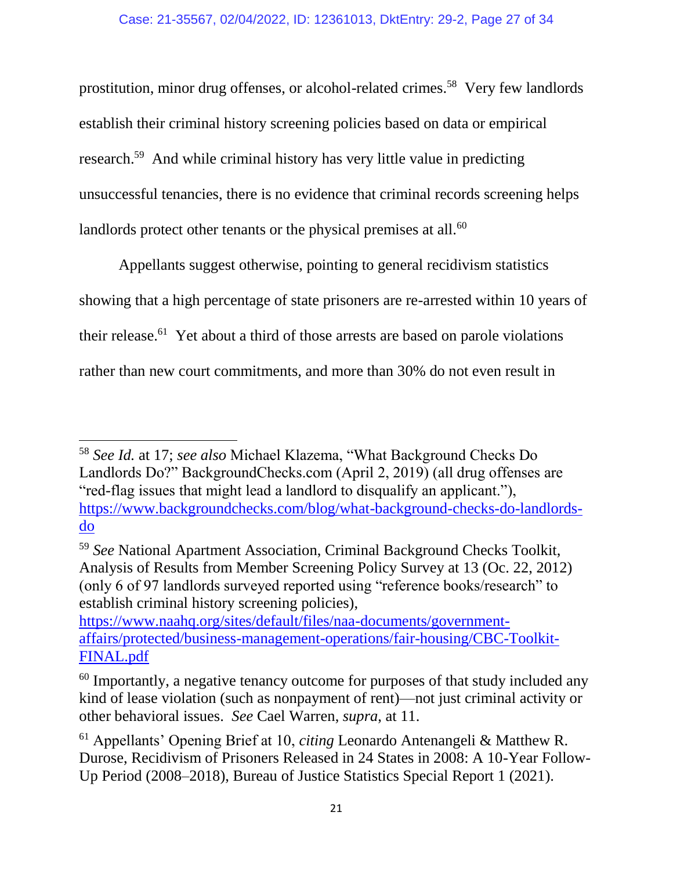prostitution, minor drug offenses, or alcohol-related crimes.<sup>58</sup> Very few landlords establish their criminal history screening policies based on data or empirical research.<sup>59</sup> And while criminal history has very little value in predicting unsuccessful tenancies, there is no evidence that criminal records screening helps landlords protect other tenants or the physical premises at all.<sup>60</sup>

Appellants suggest otherwise, pointing to general recidivism statistics showing that a high percentage of state prisoners are re-arrested within 10 years of their release.<sup>61</sup> Yet about a third of those arrests are based on parole violations rather than new court commitments, and more than 30% do not even result in

 $\overline{\phantom{a}}$ <sup>58</sup> *See Id.* at 17; *see also* Michael Klazema, "What Background Checks Do Landlords Do?" BackgroundChecks.com (April 2, 2019) (all drug offenses are "red-flag issues that might lead a landlord to disqualify an applicant."), [https://www.backgroundchecks.com/blog/what-background-checks-do-landlords](https://www.backgroundchecks.com/blog/what-background-checks-do-landlords-do)[do](https://www.backgroundchecks.com/blog/what-background-checks-do-landlords-do) 

<sup>59</sup> *See* National Apartment Association, Criminal Background Checks Toolkit, Analysis of Results from Member Screening Policy Survey at 13 (Oc. 22, 2012) (only 6 of 97 landlords surveyed reported using "reference books/research" to establish criminal history screening policies),

[https://www.naahq.org/sites/default/files/naa-documents/government](https://www.naahq.org/sites/default/files/naa-documents/government-affairs/protected/business-management-operations/fair-housing/CBC-Toolkit-FINAL.pdf)[affairs/protected/business-management-operations/fair-housing/CBC-Toolkit-](https://www.naahq.org/sites/default/files/naa-documents/government-affairs/protected/business-management-operations/fair-housing/CBC-Toolkit-FINAL.pdf)[FINAL.pdf](https://www.naahq.org/sites/default/files/naa-documents/government-affairs/protected/business-management-operations/fair-housing/CBC-Toolkit-FINAL.pdf) 

<sup>&</sup>lt;sup>60</sup> Importantly, a negative tenancy outcome for purposes of that study included any kind of lease violation (such as nonpayment of rent)—not just criminal activity or other behavioral issues. *See* Cael Warren, *supra*, at 11.

<sup>61</sup> Appellants' Opening Brief at 10, *citing* Leonardo Antenangeli & Matthew R. Durose, Recidivism of Prisoners Released in 24 States in 2008: A 10-Year Follow-Up Period (2008–2018), Bureau of Justice Statistics Special Report 1 (2021).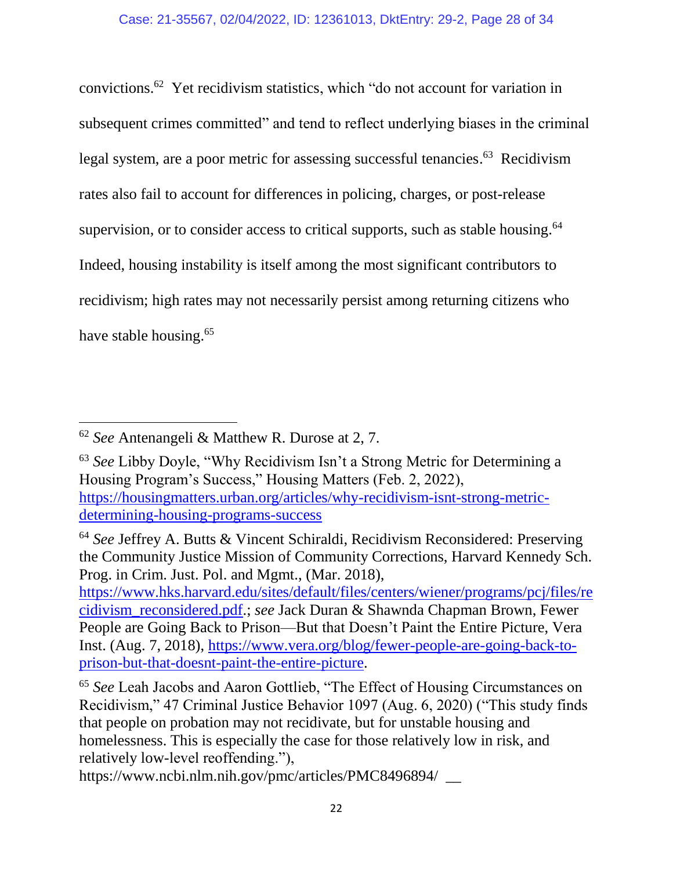convictions.<sup>62</sup> Yet recidivism statistics, which "do not account for variation in subsequent crimes committed" and tend to reflect underlying biases in the criminal legal system, are a poor metric for assessing successful tenancies.<sup>63</sup> Recidivism rates also fail to account for differences in policing, charges, or post-release supervision, or to consider access to critical supports, such as stable housing.<sup>64</sup> Indeed, housing instability is itself among the most significant contributors to recidivism; high rates may not necessarily persist among returning citizens who have stable housing.<sup>65</sup>

<sup>62</sup> *See* Antenangeli & Matthew R. Durose at 2, 7.

<sup>63</sup> *See* Libby Doyle, "Why Recidivism Isn't a Strong Metric for Determining a Housing Program's Success," Housing Matters (Feb. 2, 2022), [https://housingmatters.urban.org/articles/why-recidivism-isnt-strong-metric](https://housingmatters.urban.org/articles/why-recidivism-isnt-strong-metric-determining-housing-programs-success)[determining-housing-programs-success](https://housingmatters.urban.org/articles/why-recidivism-isnt-strong-metric-determining-housing-programs-success)

<sup>64</sup> *See* Jeffrey A. Butts & Vincent Schiraldi, Recidivism Reconsidered: Preserving the Community Justice Mission of Community Corrections, Harvard Kennedy Sch. Prog. in Crim. Just. Pol. and Mgmt., (Mar. 2018),

[https://www.hks.harvard.edu/sites/default/files/centers/wiener/programs/pcj/files/re](https://www.hks.harvard.edu/sites/default/files/centers/wiener/programs/pcj/files/recidivism_reconsidered.pdf) [cidivism\\_reconsidered.pdf.](https://www.hks.harvard.edu/sites/default/files/centers/wiener/programs/pcj/files/recidivism_reconsidered.pdf); *see* Jack Duran & Shawnda Chapman Brown, Fewer People are Going Back to Prison—But that Doesn't Paint the Entire Picture, Vera Inst. (Aug. 7, 2018), [https://www.vera.org/blog/fewer-people-are-going-back-to](https://www.vera.org/blog/fewer-people-are-going-back-to-prison-but-that-doesnt-paint-the-entire-picture)[prison-but-that-doesnt-paint-the-entire-picture.](https://www.vera.org/blog/fewer-people-are-going-back-to-prison-but-that-doesnt-paint-the-entire-picture)

<sup>65</sup> *See* Leah Jacobs and Aaron Gottlieb, "The Effect of Housing Circumstances on Recidivism," 47 Criminal Justice Behavior 1097 (Aug. 6, 2020) ("This study finds that people on probation may not recidivate, but for unstable housing and homelessness. This is especially the case for those relatively low in risk, and relatively low-level reoffending."),

https://www.ncbi.nlm.nih.gov/pmc/articles/PMC8496894/ \_\_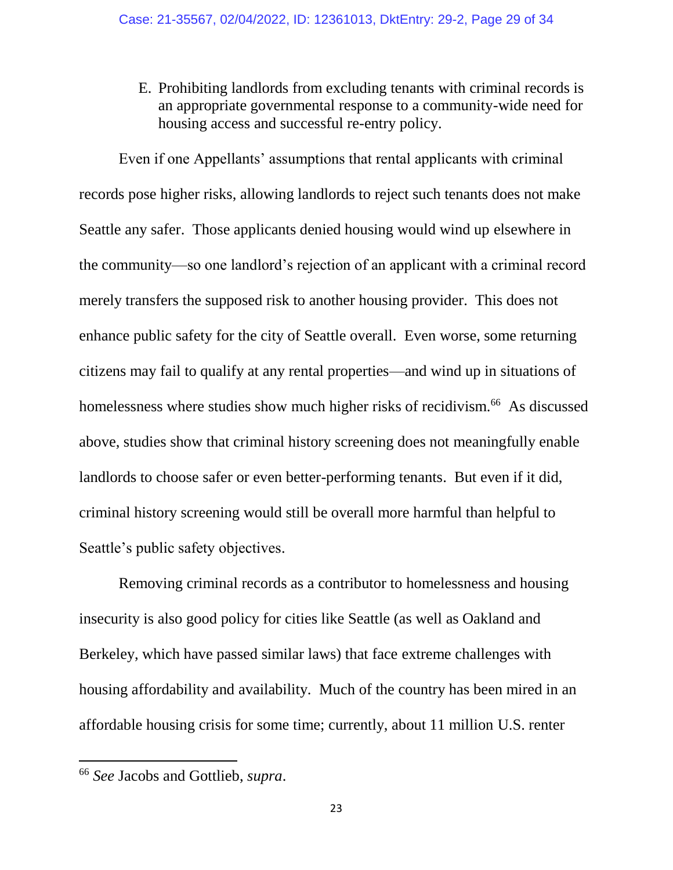E. Prohibiting landlords from excluding tenants with criminal records is an appropriate governmental response to a community-wide need for housing access and successful re-entry policy.

Even if one Appellants' assumptions that rental applicants with criminal records pose higher risks, allowing landlords to reject such tenants does not make Seattle any safer. Those applicants denied housing would wind up elsewhere in the community—so one landlord's rejection of an applicant with a criminal record merely transfers the supposed risk to another housing provider. This does not enhance public safety for the city of Seattle overall. Even worse, some returning citizens may fail to qualify at any rental properties—and wind up in situations of homelessness where studies show much higher risks of recidivism.<sup>66</sup> As discussed above, studies show that criminal history screening does not meaningfully enable landlords to choose safer or even better-performing tenants. But even if it did, criminal history screening would still be overall more harmful than helpful to Seattle's public safety objectives.

Removing criminal records as a contributor to homelessness and housing insecurity is also good policy for cities like Seattle (as well as Oakland and Berkeley, which have passed similar laws) that face extreme challenges with housing affordability and availability. Much of the country has been mired in an affordable housing crisis for some time; currently, about 11 million U.S. renter

<sup>66</sup> *See* Jacobs and Gottlieb, *supra*.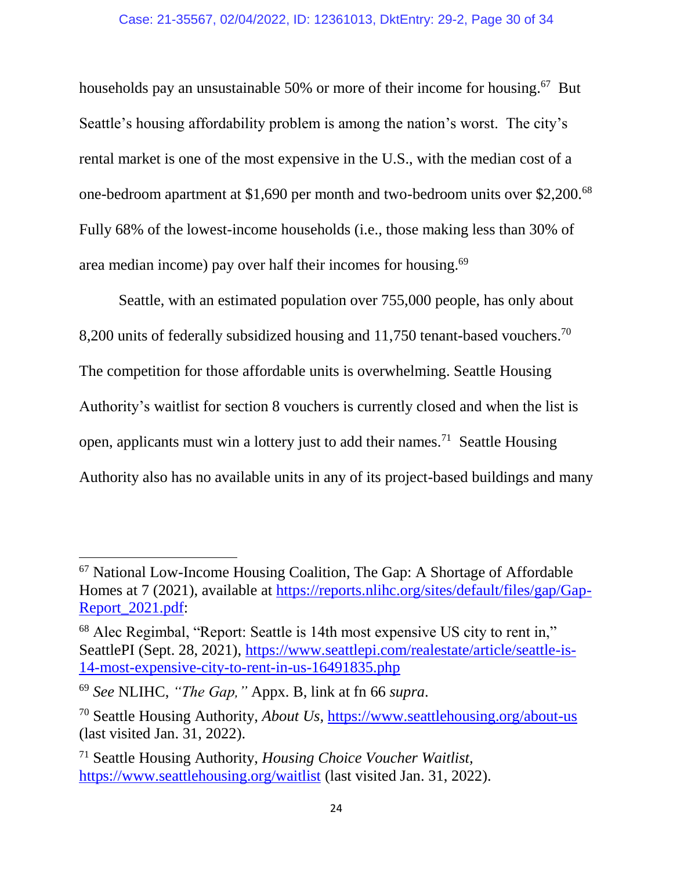### Case: 21-35567, 02/04/2022, ID: 12361013, DktEntry: 29-2, Page 30 of 34

households pay an unsustainable 50% or more of their income for housing.<sup>67</sup> But Seattle's housing affordability problem is among the nation's worst. The city's rental market is one of the most expensive in the U.S., with the median cost of a one-bedroom apartment at \$1,690 per month and two-bedroom units over \$2,200.<sup>68</sup> Fully 68% of the lowest-income households (i.e., those making less than 30% of area median income) pay over half their incomes for housing.<sup>69</sup>

Seattle, with an estimated population over 755,000 people, has only about 8,200 units of federally subsidized housing and 11,750 tenant-based vouchers.<sup>70</sup> The competition for those affordable units is overwhelming. Seattle Housing Authority's waitlist for section 8 vouchers is currently closed and when the list is open, applicants must win a lottery just to add their names.<sup>71</sup> Seattle Housing Authority also has no available units in any of its project-based buildings and many

<sup>67</sup> National Low-Income Housing Coalition, The Gap: A Shortage of Affordable Homes at 7 (2021), available at [https://reports.nlihc.org/sites/default/files/gap/Gap-](https://reports.nlihc.org/sites/default/files/gap/Gap-Report_2021.pdf)[Report\\_2021.pdf:](https://reports.nlihc.org/sites/default/files/gap/Gap-Report_2021.pdf)

<sup>68</sup> Alec Regimbal, "Report: Seattle is 14th most expensive US city to rent in," SeattlePI (Sept. 28, 2021), [https://www.seattlepi.com/realestate/article/seattle-is-](https://www.seattlepi.com/realestate/article/seattle-is-14-most-expensive-city-to-rent-in-us-16491835.php)[14-most-expensive-city-to-rent-in-us-16491835.php](https://www.seattlepi.com/realestate/article/seattle-is-14-most-expensive-city-to-rent-in-us-16491835.php)

<sup>69</sup> *See* NLIHC, *"The Gap,"* Appx. B, link at fn 66 *supra*.

<sup>70</sup> Seattle Housing Authority, *About Us,* <https://www.seattlehousing.org/about-us> (last visited Jan. 31, 2022).

<sup>71</sup> Seattle Housing Authority, *Housing Choice Voucher Waitlist,*  <https://www.seattlehousing.org/waitlist> (last visited Jan. 31, 2022).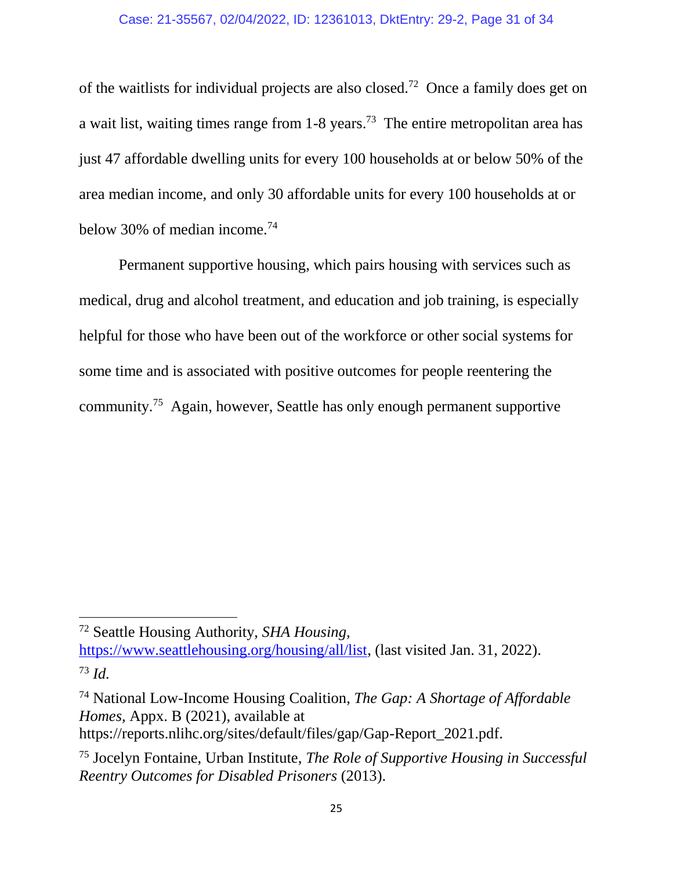of the waitlists for individual projects are also closed.<sup>72</sup> Once a family does get on a wait list, waiting times range from  $1-8$  years.<sup>73</sup> The entire metropolitan area has just 47 affordable dwelling units for every 100 households at or below 50% of the area median income, and only 30 affordable units for every 100 households at or below 30% of median income.<sup>74</sup>

Permanent supportive housing, which pairs housing with services such as medical, drug and alcohol treatment, and education and job training, is especially helpful for those who have been out of the workforce or other social systems for some time and is associated with positive outcomes for people reentering the community.<sup>75</sup> Again, however, Seattle has only enough permanent supportive

<sup>72</sup> Seattle Housing Authority, *SHA Housing,* 

[https://www.seattlehousing.org/housing/all/list,](https://www.seattlehousing.org/housing/all/list) (last visited Jan. 31, 2022). <sup>73</sup> *Id.*

<sup>74</sup> National Low-Income Housing Coalition, *The Gap: A Shortage of Affordable Homes,* Appx. B (2021), available at

https://reports.nlihc.org/sites/default/files/gap/Gap-Report\_2021.pdf.

<sup>75</sup> Jocelyn Fontaine, Urban Institute, *The Role of Supportive Housing in Successful Reentry Outcomes for Disabled Prisoners* (2013).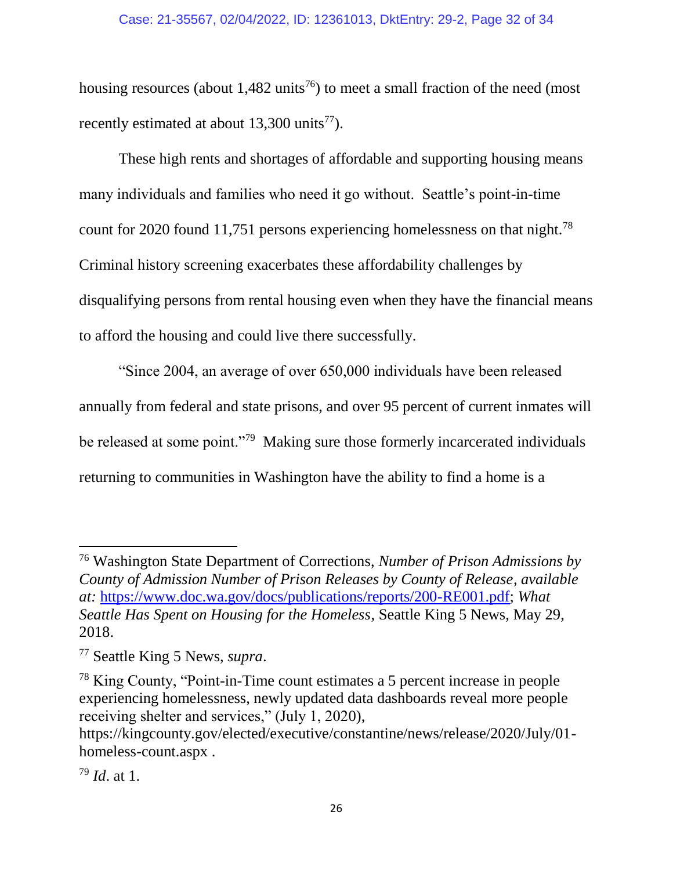housing resources (about  $1,482$  units<sup>76</sup>) to meet a small fraction of the need (most recently estimated at about  $13,300$  units<sup>77</sup>).

These high rents and shortages of affordable and supporting housing means many individuals and families who need it go without. Seattle's point-in-time count for 2020 found 11,751 persons experiencing homelessness on that night.<sup>78</sup> Criminal history screening exacerbates these affordability challenges by disqualifying persons from rental housing even when they have the financial means to afford the housing and could live there successfully.

"Since 2004, an average of over 650,000 individuals have been released annually from federal and state prisons, and over 95 percent of current inmates will be released at some point."<sup>79</sup> Making sure those formerly incarcerated individuals returning to communities in Washington have the ability to find a home is a

<sup>76</sup> Washington State Department of Corrections, *Number of Prison Admissions by County of Admission Number of Prison Releases by County of Release, available at:* [https://www.doc.wa.gov/docs/publications/reports/200-RE001.pdf;](https://www.doc.wa.gov/docs/publications/reports/200-RE001.pdf) *What Seattle Has Spent on Housing for the Homeless*, Seattle King 5 News, May 29, 2018.

<sup>77</sup> Seattle King 5 News, *supra*.

<sup>78</sup> King County, "Point-in-Time count estimates a 5 percent increase in people experiencing homelessness, newly updated data dashboards reveal more people receiving shelter and services," (July 1, 2020),

https://kingcounty.gov/elected/executive/constantine/news/release/2020/July/01 homeless-count.aspx .

<sup>79</sup> *Id*. at 1.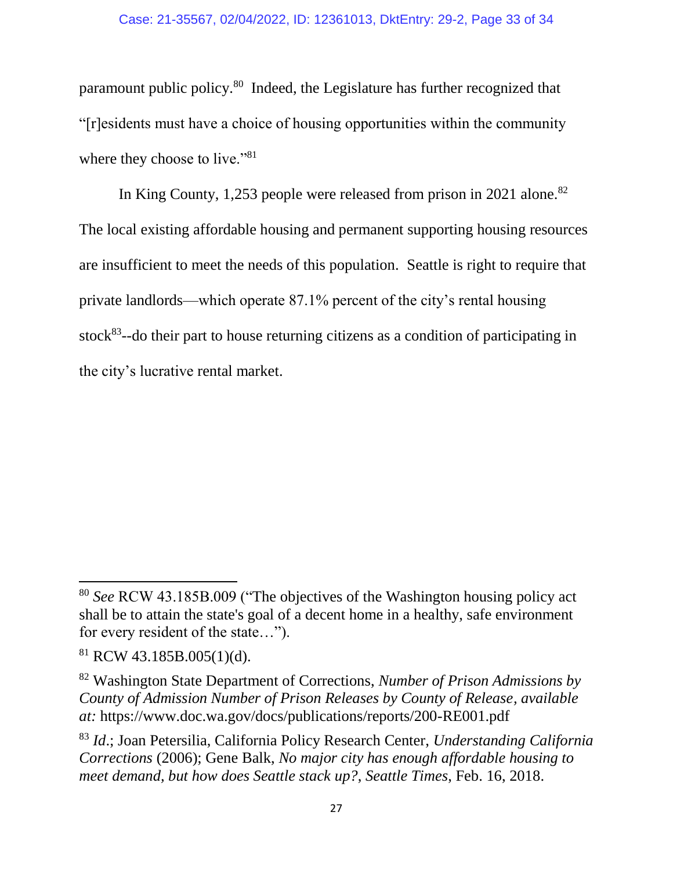paramount public policy.<sup>80</sup> Indeed, the Legislature has further recognized that "[r]esidents must have a choice of housing opportunities within the community where they choose to live."<sup>81</sup>

In King County, 1,253 people were released from prison in 2021 alone.<sup>82</sup> The local existing affordable housing and permanent supporting housing resources are insufficient to meet the needs of this population. Seattle is right to require that private landlords—which operate 87.1% percent of the city's rental housing stock $83$ --do their part to house returning citizens as a condition of participating in the city's lucrative rental market.

 $\overline{a}$ 

<sup>80</sup> *See* RCW 43.185B.009 ("The objectives of the Washington housing policy act shall be to attain the state's goal of a decent home in a healthy, safe environment for every resident of the state…").

 $81$  RCW 43.185B.005(1)(d).

<sup>82</sup> Washington State Department of Corrections, *Number of Prison Admissions by County of Admission Number of Prison Releases by County of Release, available at:* https://www.doc.wa.gov/docs/publications/reports/200-RE001.pdf

<sup>83</sup> *Id*.; Joan Petersilia, California Policy Research Center, *Understanding California Corrections* (2006); Gene Balk, *No major city has enough affordable housing to meet demand, but how does Seattle stack up?*, *Seattle Times*, Feb. 16, 2018.